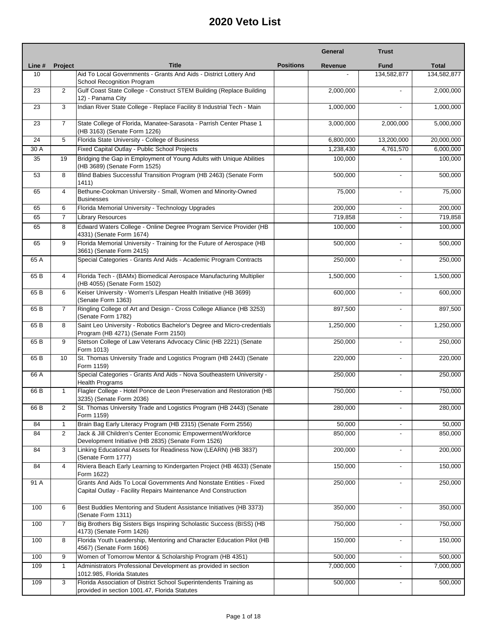|        |                |                                                                                                                                      |                  | General   | <b>Trust</b>             |              |
|--------|----------------|--------------------------------------------------------------------------------------------------------------------------------------|------------------|-----------|--------------------------|--------------|
| Line # | <b>Project</b> | <b>Title</b>                                                                                                                         | <b>Positions</b> | Revenue   | <b>Fund</b>              | <b>Total</b> |
| 10     |                | Aid To Local Governments - Grants And Aids - District Lottery And<br>School Recognition Program                                      |                  |           | 134,582,877              | 134,582,877  |
| 23     | 2              | Gulf Coast State College - Construct STEM Building (Replace Building<br>12) - Panama City                                            |                  | 2,000,000 |                          | 2,000,000    |
| 23     | 3              | Indian River State College - Replace Facility 8 Industrial Tech - Main                                                               |                  | 1,000,000 |                          | 1,000,000    |
| 23     | $\overline{7}$ | State College of Florida, Manatee-Sarasota - Parrish Center Phase 1<br>(HB 3163) (Senate Form 1226)                                  |                  | 3,000,000 | 2,000,000                | 5,000,000    |
| 24     | 5              | Florida State University - College of Business                                                                                       |                  | 6,800,000 | 13,200,000               | 20,000,000   |
| 30 A   |                | Fixed Capital Outlay - Public School Projects                                                                                        |                  | 1,238,430 | 4,761,570                | 6,000,000    |
| 35     | 19             | Bridging the Gap in Employment of Young Adults with Unique Abilities<br>(HB 3689) (Senate Form 1525)                                 |                  | 100,000   |                          | 100,000      |
| 53     | 8              | Blind Babies Successful Transition Program (HB 2463) (Senate Form<br>1411)                                                           |                  | 500,000   | $\overline{a}$           | 500,000      |
| 65     | 4              | Bethune-Cookman University - Small, Women and Minority-Owned<br><b>Businesses</b>                                                    |                  | 75,000    |                          | 75,000       |
| 65     | 6              | Florida Memorial University - Technology Upgrades                                                                                    |                  | 200,000   | $\overline{\phantom{a}}$ | 200,000      |
| 65     | 7              | <b>Library Resources</b>                                                                                                             |                  | 719,858   |                          | 719,858      |
| 65     | 8              | Edward Waters College - Online Degree Program Service Provider (HB<br>4331) (Senate Form 1674)                                       |                  | 100,000   |                          | 100,000      |
| 65     | 9              | Florida Memorial University - Training for the Future of Aerospace (HB<br>3661) (Senate Form 2415)                                   |                  | 500,000   |                          | 500,000      |
| 65 A   |                | Special Categories - Grants And Aids - Academic Program Contracts                                                                    |                  | 250,000   |                          | 250,000      |
| 65 B   | 4              | Florida Tech - (BAMx) Biomedical Aerospace Manufacturing Multiplier<br>(HB 4055) (Senate Form 1502)                                  |                  | 1,500,000 | $\overline{a}$           | 1,500,000    |
| 65 B   | 6              | Keiser University - Women's Lifespan Health Initiative (HB 3699)<br>(Senate Form 1363)                                               |                  | 600,000   |                          | 600,000      |
| 65 B   | $\overline{7}$ | Ringling College of Art and Design - Cross College Alliance (HB 3253)<br>(Senate Form 1782)                                          |                  | 897,500   | $\overline{a}$           | 897,500      |
| 65 B   | 8              | Saint Leo University - Robotics Bachelor's Degree and Micro-credentials<br>Program (HB 4271) (Senate Form 2150)                      |                  | 1,250,000 |                          | 1,250,000    |
| 65 B   | 9              | Stetson College of Law Veterans Advocacy Clinic (HB 2221) (Senate<br>Form 1013)                                                      |                  | 250,000   | $\overline{a}$           | 250,000      |
| 65 B   | 10             | St. Thomas University Trade and Logistics Program (HB 2443) (Senate<br>Form 1159)                                                    |                  | 220,000   |                          | 220,000      |
| 66 A   |                | Special Categories - Grants And Aids - Nova Southeastern University -<br><b>Health Programs</b>                                      |                  | 250,000   |                          | 250,000      |
| 66 B   | $\mathbf{1}$   | Flagler College - Hotel Ponce de Leon Preservation and Restoration (HB<br>3235) (Senate Form 2036)                                   |                  | 750,000   |                          | 750,000      |
| 66 B   | 2              | St. Thomas University Trade and Logistics Program (HB 2443) (Senate<br>Form 1159)                                                    |                  | 280,000   |                          | 280,000      |
| 84     | $\mathbf{1}$   | Brain Bag Early Literacy Program (HB 2315) (Senate Form 2556)                                                                        |                  | 50,000    | $\mathbf{r}$             | 50,000       |
| 84     | $\overline{c}$ | Jack & Jill Children's Center Economic Empowerment/Workforce<br>Development Initiative (HB 2835) (Senate Form 1526)                  |                  | 850,000   | $\overline{a}$           | 850,000      |
| 84     | 3              | Linking Educational Assets for Readiness Now (LEARN) (HB 3837)<br>(Senate Form 1777)                                                 |                  | 200,000   |                          | 200,000      |
| 84     | 4              | Riviera Beach Early Learning to Kindergarten Project (HB 4633) (Senate<br>Form 1622)                                                 |                  | 150,000   | $\blacksquare$           | 150,000      |
| 91 A   |                | Grants And Aids To Local Governments And Nonstate Entities - Fixed<br>Capital Outlay - Facility Repairs Maintenance And Construction |                  | 250,000   |                          | 250,000      |
| 100    | 6              | Best Buddies Mentoring and Student Assistance Initiatives (HB 3373)<br>(Senate Form 1311)                                            |                  | 350,000   |                          | 350,000      |
| 100    | 7              | Big Brothers Big Sisters Bigs Inspiring Scholastic Success (BISS) (HB<br>4173) (Senate Form 1426)                                    |                  | 750,000   |                          | 750,000      |
| 100    | 8              | Florida Youth Leadership, Mentoring and Character Education Pilot (HB<br>4567) (Senate Form 1606)                                    |                  | 150,000   |                          | 150,000      |
| 100    | 9              | Women of Tomorrow Mentor & Scholarship Program (HB 4351)                                                                             |                  | 500,000   |                          | 500,000      |
| 109    | $\mathbf{1}$   | Administrators Professional Development as provided in section<br>1012.985, Florida Statutes                                         |                  | 7,000,000 |                          | 7,000,000    |
| 109    | 3              | Florida Association of District School Superintendents Training as<br>provided in section 1001.47, Florida Statutes                  |                  | 500,000   |                          | 500,000      |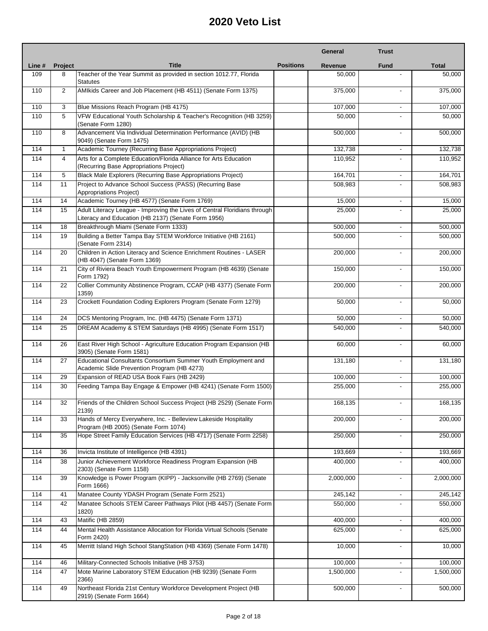|        |                |                                                                                                                                  |                  | General   | <b>Trust</b>             |              |
|--------|----------------|----------------------------------------------------------------------------------------------------------------------------------|------------------|-----------|--------------------------|--------------|
| Line # | <b>Project</b> | <b>Title</b>                                                                                                                     | <b>Positions</b> | Revenue   | <b>Fund</b>              | <b>Total</b> |
| 109    | 8              | Teacher of the Year Summit as provided in section 1012.77, Florida<br><b>Statutes</b>                                            |                  | 50,000    |                          | 50,000       |
| 110    | 2              | AMIkids Career and Job Placement (HB 4511) (Senate Form 1375)                                                                    |                  | 375,000   | $\overline{a}$           | 375,000      |
| 110    | 3              | Blue Missions Reach Program (HB 4175)                                                                                            |                  | 107,000   | $\overline{\phantom{0}}$ | 107,000      |
| 110    | 5              | VFW Educational Youth Scholarship & Teacher's Recognition (HB 3259)<br>(Senate Form 1280)                                        |                  | 50,000    |                          | 50,000       |
| 110    | 8              | Advancement Via Individual Determination Performance (AVID) (HB<br>9049) (Senate Form 1475)                                      |                  | 500,000   | ٠                        | 500,000      |
| 114    | $\mathbf{1}$   | Academic Tourney (Recurring Base Appropriations Project)                                                                         |                  | 132,738   | $\overline{\phantom{0}}$ | 132,738      |
| 114    | $\overline{4}$ | Arts for a Complete Education/Florida Alliance for Arts Education<br>(Recurring Base Appropriations Project)                     |                  | 110,952   |                          | 110,952      |
| 114    | 5              | Black Male Explorers (Recurring Base Appropriations Project)                                                                     |                  | 164,701   | $\overline{\phantom{a}}$ | 164,701      |
| 114    | 11             | Project to Advance School Success (PASS) (Recurring Base<br><b>Appropriations Project)</b>                                       |                  | 508,983   |                          | 508,983      |
| 114    | 14             | Academic Tourney (HB 4577) (Senate Form 1769)                                                                                    |                  | 15,000    | L.                       | 15,000       |
| 114    | 15             | Adult Literacy League - Improving the Lives of Central Floridians through<br>Literacy and Education (HB 2137) (Senate Form 1956) |                  | 25,000    | ÷.                       | 25,000       |
| 114    | 18             | Breakthrough Miami (Senate Form 1333)                                                                                            |                  | 500,000   | $\overline{a}$           | 500,000      |
| 114    | 19             | Building a Better Tampa Bay STEM Workforce Initiative (HB 2161)<br>(Senate Form 2314)                                            |                  | 500,000   |                          | 500,000      |
| 114    | 20             | Children in Action Literacy and Science Enrichment Routines - LASER<br>(HB 4047) (Senate Form 1369)                              |                  | 200,000   | $\overline{a}$           | 200,000      |
| 114    | 21             | City of Riviera Beach Youth Empowerment Program (HB 4639) (Senate<br>Form 1792)                                                  |                  | 150,000   |                          | 150,000      |
| 114    | 22             | Collier Community Abstinence Program, CCAP (HB 4377) (Senate Form<br>1359)                                                       |                  | 200,000   | ٠                        | 200,000      |
| 114    | 23             | Crockett Foundation Coding Explorers Program (Senate Form 1279)                                                                  |                  | 50,000    | $\overline{a}$           | 50,000       |
| 114    | 24             | DCS Mentoring Program, Inc. (HB 4475) (Senate Form 1371)                                                                         |                  | 50,000    | $\overline{\phantom{a}}$ | 50,000       |
| 114    | 25             | DREAM Academy & STEM Saturdays (HB 4995) (Senate Form 1517)                                                                      |                  | 540,000   |                          | 540,000      |
| 114    | 26             | East River High School - Agriculture Education Program Expansion (HB<br>3905) (Senate Form 1581)                                 |                  | 60,000    | ٠                        | 60,000       |
| 114    | 27             | Educational Consultants Consortium Summer Youth Employment and<br>Academic Slide Prevention Program (HB 4273)                    |                  | 131,180   | $\overline{\phantom{0}}$ | 131,180      |
| 114    | 29             | Expansion of READ USA Book Fairs (HB 2429)                                                                                       |                  | 100,000   | $\overline{a}$           | 100,000      |
| 114    | 30             | Feeding Tampa Bay Engage & Empower (HB 4241) (Senate Form 1500)                                                                  |                  | 255,000   |                          | 255,000      |
| 114    | 32             | Friends of the Children School Success Project (HB 2529) (Senate Form<br>2139)                                                   |                  | 168,135   |                          | 168,135      |
| 114    | 33             | Hands of Mercy Everywhere, Inc. - Belleview Lakeside Hospitality<br>Program (HB 2005) (Senate Form 1074)                         |                  | 200,000   | ٠                        | 200,000      |
| 114    | 35             | Hope Street Family Education Services (HB 4717) (Senate Form 2258)                                                               |                  | 250,000   |                          | 250,000      |
| 114    | 36             | Invicta Institute of Intelligence (HB 4391)                                                                                      |                  | 193,669   | $\overline{\phantom{a}}$ | 193,669      |
| 114    | 38             | Junior Achievement Workforce Readiness Program Expansion (HB<br>2303) (Senate Form 1158)                                         |                  | 400,000   |                          | 400,000      |
| 114    | 39             | Knowledge is Power Program (KIPP) - Jacksonville (HB 2769) (Senate<br>Form 1666)                                                 |                  | 2,000,000 | $\blacksquare$           | 2,000,000    |
| 114    | 41             | Manatee County YDASH Program (Senate Form 2521)                                                                                  |                  | 245,142   | $\overline{\phantom{a}}$ | 245,142      |
| 114    | 42             | Manatee Schools STEM Career Pathways Pilot (HB 4457) (Senate Form<br>1820)                                                       |                  | 550,000   | $\overline{\phantom{0}}$ | 550,000      |
| 114    | 43             | Matific (HB 2859)                                                                                                                |                  | 400,000   | ÷,                       | 400,000      |
| 114    | 44             | Mental Health Assistance Allocation for Florida Virtual Schools (Senate<br>Form 2420)                                            |                  | 625,000   |                          | 625,000      |
| 114    | 45             | Merritt Island High School StangStation (HB 4369) (Senate Form 1478)                                                             |                  | 10,000    |                          | 10,000       |
| 114    | 46             | Military-Connected Schools Initiative (HB 3753)                                                                                  |                  | 100,000   | -                        | 100,000      |
| 114    | 47             | Mote Marine Laboratory STEM Education (HB 9239) (Senate Form<br>2366)                                                            |                  | 1,500,000 | $\overline{\phantom{0}}$ | 1,500,000    |
| 114    | 49             | Northeast Florida 21st Century Workforce Development Project (HB<br>2919) (Senate Form 1664)                                     |                  | 500,000   |                          | 500,000      |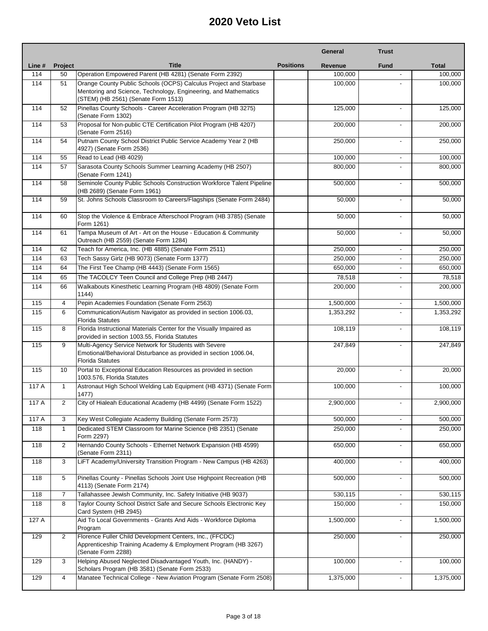|        |                |                                                                                                                                                                             |                  | General   | <b>Trust</b>             |              |
|--------|----------------|-----------------------------------------------------------------------------------------------------------------------------------------------------------------------------|------------------|-----------|--------------------------|--------------|
| Line # | <b>Project</b> | <b>Title</b>                                                                                                                                                                | <b>Positions</b> | Revenue   | <b>Fund</b>              | <b>Total</b> |
| 114    | 50             | Operation Empowered Parent (HB 4281) (Senate Form 2392)                                                                                                                     |                  | 100,000   |                          | 100,000      |
| 114    | 51             | Orange County Public Schools (OCPS) Calculus Project and Starbase<br>Mentoring and Science, Technology, Engineering, and Mathematics<br>(STEM) (HB 2561) (Senate Form 1513) |                  | 100,000   |                          | 100,000      |
| 114    | 52             | Pinellas County Schools - Career Acceleration Program (HB 3275)<br>(Senate Form 1302)                                                                                       |                  | 125,000   | $\overline{a}$           | 125,000      |
| 114    | 53             | Proposal for Non-public CTE Certification Pilot Program (HB 4207)<br>(Senate Form 2516)                                                                                     |                  | 200,000   |                          | 200,000      |
| 114    | 54             | Putnam County School District Public Service Academy Year 2 (HB<br>4927) (Senate Form 2536)                                                                                 |                  | 250,000   |                          | 250,000      |
| 114    | 55             | Read to Lead (HB 4029)                                                                                                                                                      |                  | 100,000   | $\overline{\phantom{a}}$ | 100,000      |
| 114    | 57             | Sarasota County Schools Summer Learning Academy (HB 2507)<br>(Senate Form 1241)                                                                                             |                  | 800,000   | $\overline{a}$           | 800,000      |
| 114    | 58             | Seminole County Public Schools Construction Workforce Talent Pipeline<br>(HB 2689) (Senate Form 1961)                                                                       |                  | 500,000   | $\overline{a}$           | 500,000      |
| 114    | 59             | St. Johns Schools Classroom to Careers/Flagships (Senate Form 2484)                                                                                                         |                  | 50,000    |                          | 50,000       |
| 114    | 60             | Stop the Violence & Embrace Afterschool Program (HB 3785) (Senate<br>Form 1261)                                                                                             |                  | 50,000    |                          | 50,000       |
| 114    | 61             | Tampa Museum of Art - Art on the House - Education & Community<br>Outreach (HB 2559) (Senate Form 1284)                                                                     |                  | 50,000    | $\overline{\phantom{a}}$ | 50,000       |
| 114    | 62             | Teach for America, Inc. (HB 4885) (Senate Form 2511)                                                                                                                        |                  | 250,000   | $\blacksquare$           | 250,000      |
| 114    | 63             | Tech Sassy Girlz (HB 9073) (Senate Form 1377)                                                                                                                               |                  | 250,000   |                          | 250,000      |
| 114    | 64             | The First Tee Champ (HB 4443) (Senate Form 1565)                                                                                                                            |                  | 650,000   |                          | 650,000      |
| 114    | 65             | The TACOLCY Teen Council and College Prep (HB 2447)                                                                                                                         |                  | 78,518    |                          | 78,518       |
| 114    | 66             | Walkabouts Kinesthetic Learning Program (HB 4809) (Senate Form<br>1144)                                                                                                     |                  | 200,000   | $\overline{\phantom{a}}$ | 200,000      |
| 115    | 4              | Pepin Academies Foundation (Senate Form 2563)                                                                                                                               |                  | 1,500,000 | $\blacksquare$           | 1,500,000    |
| 115    | 6              | Communication/Autism Navigator as provided in section 1006.03,<br><b>Florida Statutes</b>                                                                                   |                  | 1,353,292 |                          | 1,353,292    |
| 115    | 8              | Florida Instructional Materials Center for the Visually Impaired as<br>provided in section 1003.55, Florida Statutes                                                        |                  | 108,119   | $\overline{a}$           | 108,119      |
| 115    | 9              | Multi-Agency Service Network for Students with Severe<br>Emotional/Behavioral Disturbance as provided in section 1006.04,<br><b>Florida Statutes</b>                        |                  | 247,849   |                          | 247,849      |
| 115    | 10             | Portal to Exceptional Education Resources as provided in section<br>1003.576, Florida Statutes                                                                              |                  | 20,000    | $\overline{a}$           | 20,000       |
| 117 A  | $\mathbf{1}$   | Astronaut High School Welding Lab Equipment (HB 4371) (Senate Form<br>1477)                                                                                                 |                  | 100,000   | $\overline{a}$           | 100,000      |
| 117 A  |                | City of Hialeah Educational Academy (HB 4499) (Senate Form 1522)                                                                                                            |                  | 2,900,000 |                          | 2,900,000    |
| 117 A  | 3              | Key West Collegiate Academy Building (Senate Form 2573)                                                                                                                     |                  | 500,000   | $\blacksquare$           | 500,000      |
| 118    | $\mathbf{1}$   | Dedicated STEM Classroom for Marine Science (HB 2351) (Senate<br>Form 2297)                                                                                                 |                  | 250,000   | $\blacksquare$           | 250,000      |
| 118    | $\overline{2}$ | Hernando County Schools - Ethernet Network Expansion (HB 4599)<br>(Senate Form 2311)                                                                                        |                  | 650,000   |                          | 650,000      |
| 118    | 3              | LiFT Academy/University Transition Program - New Campus (HB 4263)                                                                                                           |                  | 400,000   | $\blacksquare$           | 400,000      |
| 118    | 5              | Pinellas County - Pinellas Schools Joint Use Highpoint Recreation (HB<br>4113) (Senate Form 2174)                                                                           |                  | 500,000   |                          | 500,000      |
| 118    | 7              | Tallahassee Jewish Community, Inc. Safety Initiative (HB 9037)                                                                                                              |                  | 530,115   | ٠                        | 530,115      |
| 118    | 8              | Taylor County School District Safe and Secure Schools Electronic Key<br>Card System (HB 2945)                                                                               |                  | 150,000   |                          | 150,000      |
| 127 A  |                | Aid To Local Governments - Grants And Aids - Workforce Diploma<br>Program                                                                                                   |                  | 1,500,000 | $\overline{\phantom{a}}$ | 1,500,000    |
| 129    | 2              | Florence Fuller Child Development Centers, Inc., (FFCDC)<br>Apprenticeship Training Academy & Employment Program (HB 3267)<br>(Senate Form 2288)                            |                  | 250,000   |                          | 250,000      |
| 129    | 3              | Helping Abused Neglected Disadvantaged Youth, Inc. (HANDY) -<br>Scholars Program (HB 3581) (Senate Form 2533)                                                               |                  | 100,000   | $\overline{\phantom{a}}$ | 100,000      |
| 129    | 4              | Manatee Technical College - New Aviation Program (Senate Form 2508)                                                                                                         |                  | 1,375,000 | $\blacksquare$           | 1,375,000    |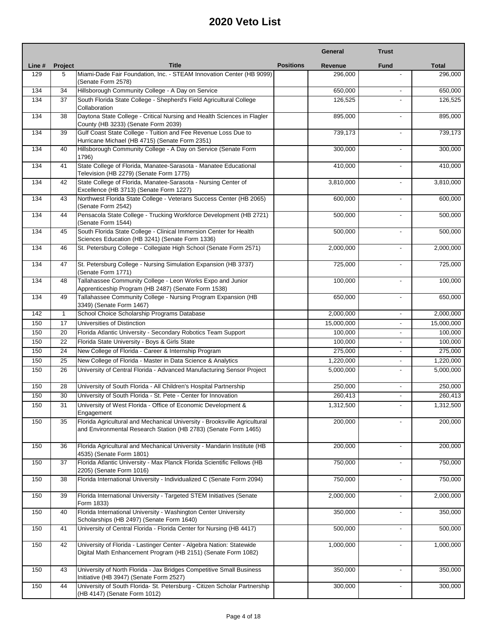|        |              |                                                                                                                                              |                  | General        | <b>Trust</b>             |              |
|--------|--------------|----------------------------------------------------------------------------------------------------------------------------------------------|------------------|----------------|--------------------------|--------------|
| Line # | Project      | <b>Title</b>                                                                                                                                 | <b>Positions</b> | <b>Revenue</b> | <b>Fund</b>              | <b>Total</b> |
| 129    | 5            | Miami-Dade Fair Foundation, Inc. - STEAM Innovation Center (HB 9099)<br>(Senate Form 2578)                                                   |                  | 296,000        |                          | 296,000      |
| 134    | 34           | Hillsborough Community College - A Day on Service                                                                                            |                  | 650,000        |                          | 650,000      |
| 134    | 37           | South Florida State College - Shepherd's Field Agricultural College<br>Collaboration                                                         |                  | 126,525        | $\overline{a}$           | 126,525      |
| 134    | 38           | Daytona State College - Critical Nursing and Health Sciences in Flagler<br>County (HB 3233) (Senate Form 2039)                               |                  | 895,000        | $\blacksquare$           | 895,000      |
| 134    | 39           | Gulf Coast State College - Tuition and Fee Revenue Loss Due to<br>Hurricane Michael (HB 4715) (Senate Form 2351)                             |                  | 739,173        | $\blacksquare$           | 739,173      |
| 134    | 40           | Hillsborough Community College - A Day on Service (Senate Form<br>1796)                                                                      |                  | 300,000        |                          | 300,000      |
| 134    | 41           | State College of Florida, Manatee-Sarasota - Manatee Educational<br>Television (HB 2279) (Senate Form 1775)                                  |                  | 410,000        | $\blacksquare$           | 410,000      |
| 134    | 42           | State College of Florida, Manatee-Sarasota - Nursing Center of<br>Excellence (HB 3713) (Senate Form 1227)                                    |                  | 3,810,000      |                          | 3,810,000    |
| 134    | 43           | Northwest Florida State College - Veterans Success Center (HB 2065)<br>(Senate Form 2542)                                                    |                  | 600,000        | $\overline{\phantom{a}}$ | 600,000      |
| 134    | 44           | Pensacola State College - Trucking Workforce Development (HB 2721)<br>(Senate Form 1544)                                                     |                  | 500,000        |                          | 500,000      |
| 134    | 45           | South Florida State College - Clinical Immersion Center for Health<br>Sciences Education (HB 3241) (Senate Form 1336)                        |                  | 500,000        | $\blacksquare$           | 500,000      |
| 134    | 46           | St. Petersburg College - Collegiate High School (Senate Form 2571)                                                                           |                  | 2,000,000      | $\overline{\phantom{a}}$ | 2,000,000    |
| 134    | 47           | St. Petersburg College - Nursing Simulation Expansion (HB 3737)<br>(Senate Form 1771)                                                        |                  | 725,000        | $\blacksquare$           | 725,000      |
| 134    | 48           | Tallahassee Community College - Leon Works Expo and Junior<br>Apprenticeship Program (HB 2487) (Senate Form 1538)                            |                  | 100,000        | $\overline{a}$           | 100,000      |
| 134    | 49           | Tallahassee Community College - Nursing Program Expansion (HB<br>3349) (Senate Form 1467)                                                    |                  | 650,000        |                          | 650,000      |
| 142    | $\mathbf{1}$ | School Choice Scholarship Programs Database                                                                                                  |                  | 2,000,000      | $\overline{\phantom{a}}$ | 2,000,000    |
| 150    | 17           | Universities of Distinction                                                                                                                  |                  | 15,000,000     | $\overline{\phantom{a}}$ | 15,000,000   |
| 150    | 20           | Florida Atlantic University - Secondary Robotics Team Support                                                                                |                  | 100,000        | $\overline{\phantom{a}}$ | 100,000      |
| 150    | 22           | Florida State University - Boys & Girls State                                                                                                |                  | 100,000        | $\overline{\phantom{a}}$ | 100,000      |
| 150    | 24           | New College of Florida - Career & Internship Program                                                                                         |                  | 275,000        | $\overline{\phantom{a}}$ | 275,000      |
| 150    | 25           | New College of Florida - Master in Data Science & Analytics                                                                                  |                  | 1,220,000      | $\overline{\phantom{a}}$ | 1,220,000    |
| 150    | 26           | University of Central Florida - Advanced Manufacturing Sensor Project                                                                        |                  | 5,000,000      |                          | 5,000,000    |
| 150    | 28           | University of South Florida - All Children's Hospital Partnership                                                                            |                  | 250,000        | $\overline{\phantom{a}}$ | 250,000      |
| 150    | 30           | University of South Florida - St. Pete - Center for Innovation                                                                               |                  | 260,413        | $\overline{\phantom{a}}$ | 260,413      |
| 150    | 31           | University of West Florida - Office of Economic Development &<br>Engagement                                                                  |                  | 1,312,500      |                          | 1,312,500    |
| 150    | 35           | Florida Agricultural and Mechanical University - Brooksville Agricultural<br>and Environmental Research Station (HB 2783) (Senate Form 1465) |                  | 200,000        |                          | 200,000      |
| 150    | 36           | Florida Agricultural and Mechanical University - Mandarin Institute (HB<br>4535) (Senate Form 1801)                                          |                  | 200,000        | $\overline{\phantom{a}}$ | 200,000      |
| 150    | 37           | Florida Atlantic University - Max Planck Florida Scientific Fellows (HB<br>2205) (Senate Form 1016)                                          |                  | 750,000        | $\overline{\phantom{a}}$ | 750,000      |
| 150    | 38           | Florida International University - Individualized C (Senate Form 2094)                                                                       |                  | 750,000        | $\overline{\phantom{a}}$ | 750,000      |
| 150    | 39           | Florida International University - Targeted STEM Initiatives (Senate<br>Form 1833)                                                           |                  | 2,000,000      |                          | 2,000,000    |
| 150    | 40           | Florida International University - Washington Center University<br>Scholarships (HB 2497) (Senate Form 1640)                                 |                  | 350,000        |                          | 350,000      |
| 150    | 41           | University of Central Florida - Florida Center for Nursing (HB 4417)                                                                         |                  | 500,000        | $\overline{\phantom{a}}$ | 500,000      |
| 150    | 42           | University of Florida - Lastinger Center - Algebra Nation: Statewide<br>Digital Math Enhancement Program (HB 2151) (Senate Form 1082)        |                  | 1,000,000      |                          | 1,000,000    |
| 150    | 43           | University of North Florida - Jax Bridges Competitive Small Business<br>Initiative (HB 3947) (Senate Form 2527)                              |                  | 350,000        |                          | 350,000      |
| 150    | 44           | University of South Florida- St. Petersburg - Citizen Scholar Partnership<br>(HB 4147) (Senate Form 1012)                                    |                  | 300,000        |                          | 300,000      |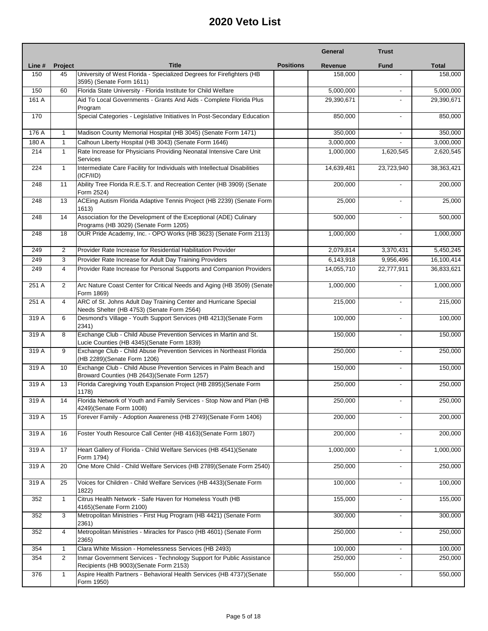|        |                |                                                                                                                    |                  | General    | <b>Trust</b>             |                        |
|--------|----------------|--------------------------------------------------------------------------------------------------------------------|------------------|------------|--------------------------|------------------------|
| Line # | <b>Project</b> | <b>Title</b>                                                                                                       | <b>Positions</b> | Revenue    | <b>Fund</b>              | <b>Total</b>           |
| 150    | 45             | University of West Florida - Specialized Degrees for Firefighters (HB<br>3595) (Senate Form 1611)                  |                  | 158,000    | $\blacksquare$           | 158,000                |
| 150    | 60             | Florida State University - Florida Institute for Child Welfare                                                     |                  | 5,000,000  | $\overline{\phantom{a}}$ | 5,000,000              |
| 161 A  |                | Aid To Local Governments - Grants And Aids - Complete Florida Plus<br>Program                                      |                  | 29,390,671 |                          | 29,390,671             |
| 170    |                | Special Categories - Legislative Initiatives In Post-Secondary Education                                           |                  | 850,000    |                          | 850,000                |
| 176 A  | $\mathbf{1}$   | Madison County Memorial Hospital (HB 3045) (Senate Form 1471)                                                      |                  | 350,000    | ٠                        | 350,000                |
| 180 A  | $\mathbf{1}$   | Calhoun Liberty Hospital (HB 3043) (Senate Form 1646)                                                              |                  | 3,000,000  | ٠                        | 3,000,000              |
| 214    | $\mathbf{1}$   | Rate Increase for Physicians Providing Neonatal Intensive Care Unit<br><b>Services</b>                             |                  | 1,000,000  | 1,620,545                | 2,620,545              |
| 224    | $\mathbf{1}$   | Intermediate Care Facility for Individuals with Intellectual Disabilities<br>(ICF/IID)                             |                  | 14,639,481 | 23,723,940               | 38,363,421             |
| 248    | 11             | Ability Tree Florida R.E.S.T. and Recreation Center (HB 3909) (Senate<br>Form 2524)                                |                  | 200,000    |                          | 200,000                |
| 248    | 13             | ACEing Autism Florida Adaptive Tennis Project (HB 2239) (Senate Form<br>1613)                                      |                  | 25,000     | ä,                       | 25,000                 |
| 248    | 14             | Association for the Development of the Exceptional (ADE) Culinary<br>Programs (HB 3029) (Senate Form 1205)         |                  | 500,000    | ٠                        | 500,000                |
| 248    | 18             | OUR Pride Academy, Inc. - OPO Works (HB 3623) (Senate Form 2113)                                                   |                  | 1,000,000  | $\blacksquare$           | 1,000,000              |
| 249    | 2              | Provider Rate Increase for Residential Habilitation Provider                                                       |                  | 2,079,814  | 3,370,431                | $\overline{5,}450,245$ |
| 249    | 3              | Provider Rate Increase for Adult Day Training Providers                                                            |                  | 6,143,918  | 9,956,496                | 16,100,414             |
| 249    | $\overline{4}$ | Provider Rate Increase for Personal Supports and Companion Providers                                               |                  | 14,055,710 | 22,777,911               | 36,833,621             |
| 251 A  | 2              | Arc Nature Coast Center for Critical Needs and Aging (HB 3509) (Senate<br>Form 1869)                               |                  | 1,000,000  | ٠                        | 1,000,000              |
| 251 A  | $\overline{4}$ | ARC of St. Johns Adult Day Training Center and Hurricane Special<br>Needs Shelter (HB 4753) (Senate Form 2564)     |                  | 215,000    |                          | 215,000                |
| 319 A  | 6              | Desmond's Village - Youth Support Services (HB 4213) (Senate Form<br>2341)                                         |                  | 100,000    | $\overline{\phantom{a}}$ | 100,000                |
| 319 A  | 8              | Exchange Club - Child Abuse Prevention Services in Martin and St.<br>Lucie Counties (HB 4345) (Senate Form 1839)   |                  | 150,000    | ٠                        | 150,000                |
| 319 A  | 9              | Exchange Club - Child Abuse Prevention Services in Northeast Florida<br>(HB 2289) (Senate Form 1206)               |                  | 250,000    | $\overline{\phantom{0}}$ | 250,000                |
| 319 A  | 10             | Exchange Club - Child Abuse Prevention Services in Palm Beach and<br>Broward Counties (HB 2643) (Senate Form 1257) |                  | 150,000    | $\overline{a}$           | 150,000                |
| 319 A  | 13             | Florida Caregiving Youth Expansion Project (HB 2895)(Senate Form<br>1178)                                          |                  | 250,000    | ٠                        | 250,000                |
| 319 A  | 14             | Florida Network of Youth and Family Services - Stop Now and Plan (HB<br>4249)(Senate Form 1008)                    |                  | 250,000    |                          | 250,000                |
| 319 A  | 15             | Forever Family - Adoption Awareness (HB 2749)(Senate Form 1406)                                                    |                  | 200,000    |                          | 200,000                |
| 319 A  | 16             | Foster Youth Resource Call Center (HB 4163) (Senate Form 1807)                                                     |                  | 200,000    | ٠                        | 200,000                |
| 319 A  | 17             | Heart Gallery of Florida - Child Welfare Services (HB 4541) (Senate<br>Form 1794)                                  |                  | 1,000,000  |                          | 1,000,000              |
| 319 A  | 20             | One More Child - Child Welfare Services (HB 2789)(Senate Form 2540)                                                |                  | 250,000    | $\overline{\phantom{a}}$ | 250,000                |
| 319 A  | 25             | Voices for Children - Child Welfare Services (HB 4433)(Senate Form<br>1822)                                        |                  | 100,000    | $\overline{\phantom{0}}$ | 100,000                |
| 352    | $\mathbf{1}$   | Citrus Health Network - Safe Haven for Homeless Youth (HB<br>4165)(Senate Form 2100)                               |                  | 155,000    | $\overline{\phantom{0}}$ | 155,000                |
| 352    | 3              | Metropolitan Ministries - First Hug Program (HB 4421) (Senate Form<br>2361)                                        |                  | 300,000    | ٠                        | 300,000                |
| 352    | 4              | Metropolitan Ministries - Miracles for Pasco (HB 4601) (Senate Form<br>2365)                                       |                  | 250,000    |                          | 250,000                |
| 354    | $\mathbf{1}$   | Clara White Mission - Homelessness Services (HB 2493)                                                              |                  | 100,000    | ۰.                       | 100,000                |
| 354    | 2              | Inmar Government Services - Technology Support for Public Assistance<br>Recipients (HB 9003)(Senate Form 2153)     |                  | 250,000    | $\overline{\phantom{0}}$ | 250,000                |
| 376    | $\mathbf{1}$   | Aspire Health Partners - Behavioral Health Services (HB 4737) (Senate<br>Form 1950)                                |                  | 550,000    |                          | 550,000                |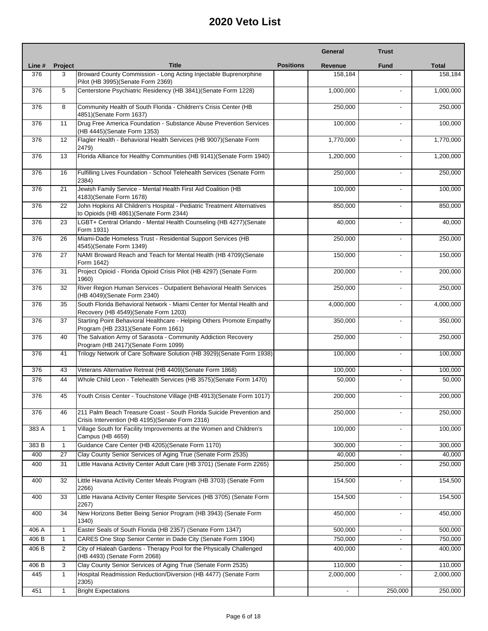|        |              |                                                                                                                         |                  | General                  | <b>Trust</b>             |              |
|--------|--------------|-------------------------------------------------------------------------------------------------------------------------|------------------|--------------------------|--------------------------|--------------|
| Line # | Project      | <b>Title</b>                                                                                                            | <b>Positions</b> | Revenue                  | <b>Fund</b>              | <b>Total</b> |
| 376    | 3            | Broward County Commission - Long Acting Injectable Buprenorphine<br>Pilot (HB 3995) (Senate Form 2369)                  |                  | 158,184                  |                          | 158,184      |
| 376    | 5            | Centerstone Psychiatric Residency (HB 3841) (Senate Form 1228)                                                          |                  | 1,000,000                |                          | 1,000,000    |
| 376    | 8            | Community Health of South Florida - Children's Crisis Center (HB<br>4851)(Senate Form 1637)                             |                  | 250,000                  | $\blacksquare$           | 250,000      |
| 376    | 11           | Drug Free America Foundation - Substance Abuse Prevention Services<br>(HB 4445) (Senate Form 1353)                      |                  | 100.000                  | $\blacksquare$           | 100,000      |
| 376    | 12           | Flagler Health - Behavioral Health Services (HB 9007) (Senate Form<br>2479)                                             |                  | 1,770,000                |                          | 1,770,000    |
| 376    | 13           | Florida Alliance for Healthy Communities (HB 9141) (Senate Form 1940)                                                   |                  | 1,200,000                | $\overline{a}$           | 1,200,000    |
| 376    | 16           | Fulfilling Lives Foundation - School Telehealth Services (Senate Form<br>2384)                                          |                  | 250,000                  |                          | 250,000      |
| 376    | 21           | Jewish Family Service - Mental Health First Aid Coalition (HB<br>4183) (Senate Form 1678)                               |                  | 100,000                  | $\blacksquare$           | 100,000      |
| 376    | 22           | John Hopkins All Children's Hospital - Pediatric Treatment Alternatives<br>to Opioids (HB 4861)(Senate Form 2344)       |                  | 850,000                  |                          | 850,000      |
| 376    | 23           | LGBT+ Central Orlando - Mental Health Counseling (HB 4277)(Senate<br>Form 1931)                                         |                  | 40,000                   | $\overline{\phantom{a}}$ | 40,000       |
| 376    | 26           | Miami-Dade Homeless Trust - Residential Support Services (HB<br>4545)(Senate Form 1349)                                 |                  | 250,000                  | $\overline{a}$           | 250,000      |
| 376    | 27           | NAMI Broward Reach and Teach for Mental Health (HB 4709)(Senate<br>Form 1642)                                           |                  | 150,000                  | $\blacksquare$           | 150,000      |
| 376    | 31           | Project Opioid - Florida Opioid Crisis Pilot (HB 4297) (Senate Form<br>1960)                                            |                  | 200,000                  | $\overline{a}$           | 200,000      |
| 376    | 32           | River Region Human Services - Outpatient Behavioral Health Services<br>(HB 4049) (Senate Form 2340)                     |                  | 250,000                  |                          | 250,000      |
| 376    | 35           | South Florida Behavioral Network - Miami Center for Mental Health and<br>Recovery (HB 4549) (Senate Form 1203)          |                  | 4,000,000                | $\blacksquare$           | 4,000,000    |
| 376    | 37           | Starting Point Behavioral Healthcare - Helping Others Promote Empathy<br>Program (HB 2331) (Senate Form 1661)           |                  | 350,000                  |                          | 350,000      |
| 376    | 40           | The Salvation Army of Sarasota - Community Addiction Recovery<br>Program (HB 2417)(Senate Form 1099)                    |                  | 250,000                  | $\blacksquare$           | 250,000      |
| 376    | 41           | Trilogy Network of Care Software Solution (HB 3929) (Senate Form 1938)                                                  |                  | 100,000                  | $\overline{a}$           | 100,000      |
| 376    | 43           | Veterans Alternative Retreat (HB 4409) (Senate Form 1868)                                                               |                  | 100,000                  |                          | 100,000      |
| 376    | 44           | Whole Child Leon - Telehealth Services (HB 3575)(Senate Form 1470)                                                      |                  | 50,000                   |                          | 50,000       |
| 376    | 45           | Youth Crisis Center - Touchstone Village (HB 4913) (Senate Form 1017)                                                   |                  | 200,000                  | $\overline{a}$           | 200,000      |
| 376    | 46           | 211 Palm Beach Treasure Coast - South Florida Suicide Prevention and<br>Crisis Intervention (HB 4195)(Senate Form 2316) |                  | 250,000                  |                          | 250,000      |
| 383 A  | $\mathbf{1}$ | Village South for Facility Improvements at the Women and Children's<br>Campus (HB 4659)                                 |                  | 100,000                  |                          | 100,000      |
| 383 B  | $\mathbf{1}$ | Guidance Care Center (HB 4205) (Senate Form 1170)                                                                       |                  | 300,000                  |                          | 300,000      |
| 400    | 27           | Clay County Senior Services of Aging True (Senate Form 2535)                                                            |                  | 40,000                   |                          | 40,000       |
| 400    | 31           | Little Havana Activity Center Adult Care (HB 3701) (Senate Form 2265)                                                   |                  | 250,000                  |                          | 250,000      |
| 400    | 32           | Little Havana Activity Center Meals Program (HB 3703) (Senate Form<br>2266)                                             |                  | 154,500                  | $\blacksquare$           | 154,500      |
| 400    | 33           | Little Havana Activity Center Respite Services (HB 3705) (Senate Form<br>2267)                                          |                  | 154,500                  |                          | 154,500      |
| 400    | 34           | New Horizons Better Being Senior Program (HB 3943) (Senate Form<br>1340)                                                |                  | 450,000                  | $\blacksquare$           | 450,000      |
| 406 A  | $\mathbf{1}$ | Easter Seals of South Florida (HB 2357) (Senate Form 1347)                                                              |                  | 500,000                  | $\overline{\phantom{a}}$ | 500,000      |
| 406 B  | $\mathbf{1}$ | CARES One Stop Senior Center in Dade City (Senate Form 1904)                                                            |                  | 750,000                  | $\overline{\phantom{a}}$ | 750,000      |
| 406 B  | 2            | City of Hialeah Gardens - Therapy Pool for the Physically Challenged<br>(HB 4493) (Senate Form 2068)                    |                  | 400,000                  | $\overline{\phantom{a}}$ | 400,000      |
| 406 B  | 3            | Clay County Senior Services of Aging True (Senate Form 2535)                                                            |                  | 110,000                  |                          | 110,000      |
| 445    | $\mathbf{1}$ | Hospital Readmission Reduction/Diversion (HB 4477) (Senate Form<br>2305)                                                |                  | 2,000,000                |                          | 2,000,000    |
| 451    | $\mathbf{1}$ | <b>Bright Expectations</b>                                                                                              |                  | $\overline{\phantom{a}}$ | 250,000                  | 250,000      |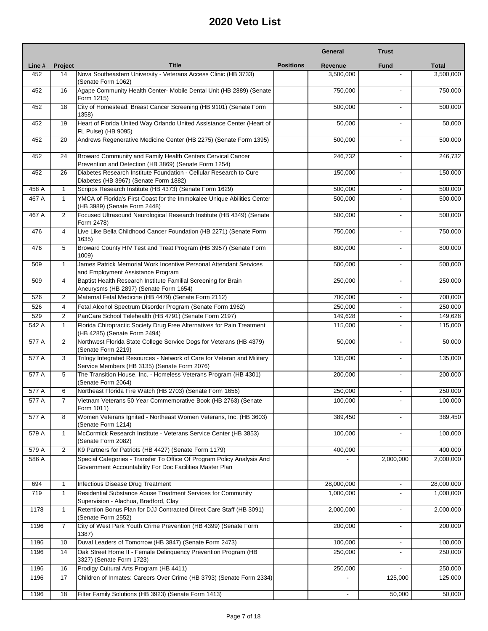|        |                |                                                                                                                                    |                  | General        | <b>Trust</b>             |              |
|--------|----------------|------------------------------------------------------------------------------------------------------------------------------------|------------------|----------------|--------------------------|--------------|
| Line # | <b>Project</b> | <b>Title</b>                                                                                                                       | <b>Positions</b> | Revenue        | <b>Fund</b>              | <b>Total</b> |
| 452    | 14             | Nova Southeastern University - Veterans Access Clinic (HB 3733)<br>(Senate Form 1062)                                              |                  | 3,500,000      |                          | 3,500,000    |
| 452    | 16             | Agape Community Health Center- Mobile Dental Unit (HB 2889) (Senate<br>Form 1215)                                                  |                  | 750,000        | $\overline{a}$           | 750,000      |
| 452    | 18             | City of Homestead: Breast Cancer Screening (HB 9101) (Senate Form<br>1358)                                                         |                  | 500,000        | $\blacksquare$           | 500,000      |
| 452    | 19             | Heart of Florida United Way Orlando United Assistance Center (Heart of<br>FL Pulse) (HB 9095)                                      |                  | 50,000         | $\overline{a}$           | 50,000       |
| 452    | 20             | Andrews Regenerative Medicine Center (HB 2275) (Senate Form 1395)                                                                  |                  | 500,000        |                          | 500,000      |
| 452    | 24             | Broward Community and Family Health Centers Cervical Cancer<br>Prevention and Detection (HB 3869) (Senate Form 1254)               |                  | 246,732        | ٠                        | 246,732      |
| 452    | 26             | Diabetes Research Institute Foundation - Cellular Research to Cure<br>Diabetes (HB 3967) (Senate Form 1882)                        |                  | 150,000        |                          | 150,000      |
| 458 A  | $\mathbf{1}$   | Scripps Research Institute (HB 4373) (Senate Form 1629)                                                                            |                  | 500,000        | $\blacksquare$           | 500,000      |
| 467 A  | $\mathbf{1}$   | YMCA of Florida's First Coast for the Immokalee Unique Abilities Center<br>(HB 3989) (Senate Form 2448)                            |                  | 500,000        |                          | 500,000      |
| 467 A  | 2              | Focused Ultrasound Neurological Research Institute (HB 4349) (Senate<br>Form 2478)                                                 |                  | 500,000        | ٠                        | 500,000      |
| 476    | $\overline{4}$ | Live Like Bella Childhood Cancer Foundation (HB 2271) (Senate Form<br>1635)                                                        |                  | 750,000        | $\overline{\phantom{a}}$ | 750,000      |
| 476    | 5              | Broward County HIV Test and Treat Program (HB 3957) (Senate Form<br>1009)                                                          |                  | 800,000        | $\overline{a}$           | 800,000      |
| 509    | $\mathbf{1}$   | James Patrick Memorial Work Incentive Personal Attendant Services<br>and Employment Assistance Program                             |                  | 500,000        |                          | 500,000      |
| 509    | $\overline{4}$ | Baptist Health Research Institute Familial Screening for Brain<br>Aneurysms (HB 2897) (Senate Form 1654)                           |                  | 250,000        | L.                       | 250,000      |
| 526    | 2              | Maternal Fetal Medicine (HB 4479) (Senate Form 2112)                                                                               |                  | 700,000        |                          | 700,000      |
| 526    | $\overline{4}$ | Fetal Alcohol Spectrum Disorder Program (Senate Form 1962)                                                                         |                  | 250,000        |                          | 250,000      |
| 529    | 2              | PanCare School Telehealth (HB 4791) (Senate Form 2197)                                                                             |                  | 149,628        | $\overline{\phantom{0}}$ | 149,628      |
| 542 A  | $\mathbf{1}$   | Florida Chiropractic Society Drug Free Alternatives for Pain Treatment<br>(HB 4285) (Senate Form 2494)                             |                  | 115,000        |                          | 115,000      |
| 577 A  | 2              | Northwest Florida State College Service Dogs for Veterans (HB 4379)<br>(Senate Form 2219)                                          |                  | 50,000         |                          | 50,000       |
| 577 A  | 3              | Trilogy Integrated Resources - Network of Care for Veteran and Military<br>Service Members (HB 3135) (Senate Form 2076)            |                  | 135,000        | L.                       | 135,000      |
| 577 A  | 5              | The Transition House, Inc. - Homeless Veterans Program (HB 4301)<br>(Senate Form 2064)                                             |                  | 200,000        | ٠                        | 200,000      |
| 577 A  | 6              | Northeast Florida Fire Watch (HB 2703) (Senate Form 1656)                                                                          |                  | 250,000        | L.                       | 250,000      |
| 577 A  | 7              | Vietnam Veterans 50 Year Commemorative Book (HB 2763) (Senate<br>Form 1011)                                                        |                  | 100,000        |                          | 100,000      |
| 577 A  | 8              | Women Veterans Ignited - Northeast Women Veterans, Inc. (HB 3603)<br>(Senate Form 1214)                                            |                  | 389,450        |                          | 389,450      |
| 579 A  | $\mathbf{1}$   | McCormick Research Institute - Veterans Service Center (HB 3853)<br>(Senate Form 2082)                                             |                  | 100,000        | ٠                        | 100,000      |
| 579 A  | 2              | K9 Partners for Patriots (HB 4427) (Senate Form 1179)                                                                              |                  | 400,000        |                          | 400,000      |
| 586 A  |                | Special Categories - Transfer To Office Of Program Policy Analysis And<br>Government Accountability For Doc Facilities Master Plan |                  |                | 2,000,000                | 2,000,000    |
| 694    | $\mathbf{1}$   | Infectious Disease Drug Treatment                                                                                                  |                  | 28,000,000     |                          | 28,000,000   |
| 719    | $\mathbf{1}$   | Residential Substance Abuse Treatment Services for Community<br>Supervision - Alachua, Bradford, Clay                              |                  | 1,000,000      |                          | 1,000,000    |
| 1178   | $\mathbf{1}$   | Retention Bonus Plan for DJJ Contracted Direct Care Staff (HB 3091)<br>(Senate Form 2552)                                          |                  | 2,000,000      | ٠                        | 2,000,000    |
| 1196   | $\overline{7}$ | City of West Park Youth Crime Prevention (HB 4399) (Senate Form<br>1387)                                                           |                  | 200,000        |                          | 200,000      |
| 1196   | 10             | Duval Leaders of Tomorrow (HB 3847) (Senate Form 2473)                                                                             |                  | 100,000        | $\overline{\phantom{a}}$ | 100,000      |
| 1196   | 14             | Oak Street Home II - Female Delinquency Prevention Program (HB<br>3327) (Senate Form 1723)                                         |                  | 250,000        |                          | 250,000      |
| 1196   | 16             | Prodigy Cultural Arts Program (HB 4411)                                                                                            |                  | 250,000        | ä,                       | 250,000      |
| 1196   | 17             | Children of Inmates: Careers Over Crime (HB 3793) (Senate Form 2334)                                                               |                  |                | 125,000                  | 125,000      |
| 1196   | 18             | Filter Family Solutions (HB 3923) (Senate Form 1413)                                                                               |                  | $\blacksquare$ | 50,000                   | 50,000       |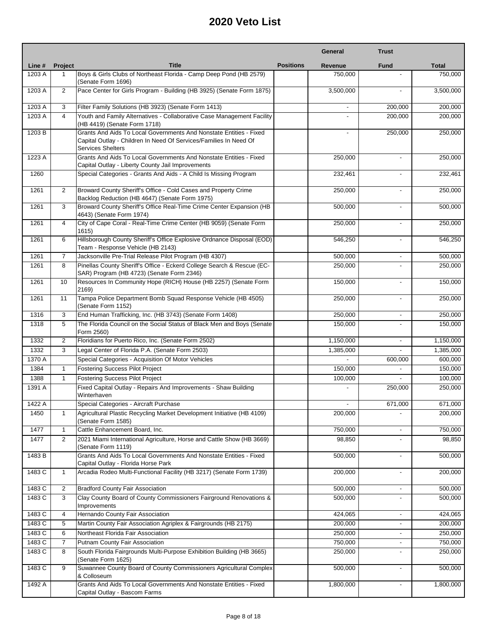|        |                |                                                                                                                                                                     |                  | General   | <b>Trust</b>             |              |
|--------|----------------|---------------------------------------------------------------------------------------------------------------------------------------------------------------------|------------------|-----------|--------------------------|--------------|
| Line # | <b>Project</b> | <b>Title</b>                                                                                                                                                        | <b>Positions</b> | Revenue   | <b>Fund</b>              | <b>Total</b> |
| 1203 A | 1              | Boys & Girls Clubs of Northeast Florida - Camp Deep Pond (HB 2579)<br>(Senate Form 1696)                                                                            |                  | 750.000   |                          | 750,000      |
| 1203 A | $\overline{2}$ | Pace Center for Girls Program - Building (HB 3925) (Senate Form 1875)                                                                                               |                  | 3,500,000 |                          | 3,500,000    |
| 1203 A | 3              | Filter Family Solutions (HB 3923) (Senate Form 1413)                                                                                                                |                  |           | 200,000                  | 200,000      |
| 1203 A | $\overline{4}$ | Youth and Family Alternatives - Collaborative Case Management Facility<br>(HB 4419) (Senate Form 1718)                                                              |                  |           | 200,000                  | 200,000      |
| 1203 B |                | Grants And Aids To Local Governments And Nonstate Entities - Fixed<br>Capital Outlay - Children In Need Of Services/Families In Need Of<br><b>Services Shelters</b> |                  |           | 250,000                  | 250,000      |
| 1223 A |                | Grants And Aids To Local Governments And Nonstate Entities - Fixed<br>Capital Outlay - Liberty County Jail Improvements                                             |                  | 250,000   |                          | 250,000      |
| 1260   |                | Special Categories - Grants And Aids - A Child Is Missing Program                                                                                                   |                  | 232,461   |                          | 232,461      |
| 1261   | 2              | Broward County Sheriff's Office - Cold Cases and Property Crime<br>Backlog Reduction (HB 4647) (Senate Form 1975)                                                   |                  | 250,000   | $\mathbf{r}$             | 250,000      |
| 1261   | 3              | Broward County Sheriff's Office Real-Time Crime Center Expansion (HB<br>4643) (Senate Form 1974)                                                                    |                  | 500,000   | $\overline{\phantom{a}}$ | 500,000      |
| 1261   | $\overline{4}$ | City of Cape Coral - Real-Time Crime Center (HB 9059) (Senate Form<br>1615)                                                                                         |                  | 250,000   | $\sim$                   | 250,000      |
| 1261   | 6              | Hillsborough County Sheriff's Office Explosive Ordnance Disposal (EOD)<br>Team - Response Vehicle (HB 2143)                                                         |                  | 546,250   |                          | 546,250      |
| 1261   | $\overline{7}$ | Jacksonville Pre-Trial Release Pilot Program (HB 4307)                                                                                                              |                  | 500.000   | $\blacksquare$           | 500,000      |
| 1261   | 8              | Pinellas County Sheriff's Office - Eckerd College Search & Rescue (EC-<br>SAR) Program (HB 4723) (Senate Form 2346)                                                 |                  | 250,000   | $\overline{a}$           | 250,000      |
| 1261   | 10             | Resources In Community Hope (RICH) House (HB 2257) (Senate Form<br>2169)                                                                                            |                  | 150,000   |                          | 150,000      |
| 1261   | 11             | Tampa Police Department Bomb Squad Response Vehicle (HB 4505)<br>(Senate Form 1152)                                                                                 |                  | 250,000   | $\blacksquare$           | 250,000      |
| 1316   | 3              | End Human Trafficking, Inc. (HB 3743) (Senate Form 1408)                                                                                                            |                  | 250,000   |                          | 250,000      |
| 1318   | 5              | The Florida Council on the Social Status of Black Men and Boys (Senate<br>Form 2560)                                                                                |                  | 150,000   | $\overline{a}$           | 150,000      |
| 1332   | $\overline{2}$ | Floridians for Puerto Rico, Inc. (Senate Form 2502)                                                                                                                 |                  | 1,150,000 | $\blacksquare$           | 1,150,000    |
| 1332   | 3              | Legal Center of Florida P.A. (Senate Form 2503)                                                                                                                     |                  | 1,385,000 |                          | 1,385,000    |
| 1370 A |                | Special Categories - Acquisition Of Motor Vehicles                                                                                                                  |                  |           | 600,000                  | 600,000      |
| 1384   | $\mathbf{1}$   | Fostering Success Pilot Project                                                                                                                                     |                  | 150,000   |                          | 150,000      |
| 1388   | $\mathbf{1}$   | <b>Fostering Success Pilot Project</b>                                                                                                                              |                  | 100,000   |                          | 100,000      |
| 1391 A |                | Fixed Capital Outlay - Repairs And Improvements - Shaw Building<br>Winterhaven                                                                                      |                  |           | 250,000                  | 250,000      |
| 1422 A |                | Special Categories - Aircraft Purchase                                                                                                                              |                  |           | 671,000                  | 671,000      |
| 1450   | $\mathbf{1}$   | Agricultural Plastic Recycling Market Development Initiative (HB 4109)<br>(Senate Form 1585)                                                                        |                  | 200,000   |                          | 200,000      |
| 1477   | $\mathbf{1}$   | Cattle Enhancement Board, Inc.                                                                                                                                      |                  | 750,000   |                          | 750,000      |
| 1477   | 2              | 2021 Miami International Agriculture, Horse and Cattle Show (HB 3669)<br>(Senate Form 1119)                                                                         |                  | 98,850    |                          | 98,850       |
| 1483 B |                | Grants And Aids To Local Governments And Nonstate Entities - Fixed<br>Capital Outlay - Florida Horse Park                                                           |                  | 500,000   | $\overline{\phantom{a}}$ | 500,000      |
| 1483 C | $\mathbf{1}$   | Arcadia Rodeo Multi-Functional Facility (HB 3217) (Senate Form 1739)                                                                                                |                  | 200.000   | $\blacksquare$           | 200,000      |
| 1483 C | 2              | <b>Bradford County Fair Association</b>                                                                                                                             |                  | 500,000   |                          | 500,000      |
| 1483 C | 3              | Clay County Board of County Commissioners Fairground Renovations &<br>Improvements                                                                                  |                  | 500,000   |                          | 500,000      |
| 1483 C | 4              | Hernando County Fair Association                                                                                                                                    |                  | 424,065   | $\overline{\phantom{a}}$ | 424,065      |
| 1483 C | 5              | Martin County Fair Association Agriplex & Fairgrounds (HB 2175)                                                                                                     |                  | 200,000   |                          | 200,000      |
| 1483 C | 6              | Northeast Florida Fair Association                                                                                                                                  |                  | 250,000   | $\blacksquare$           | 250,000      |
| 1483 C | 7              | Putnam County Fair Association                                                                                                                                      |                  | 750,000   | $\overline{\phantom{a}}$ | 750,000      |
| 1483 C | 8              | South Florida Fairgrounds Multi-Purpose Exhibition Building (HB 3665)<br>(Senate Form 1625)                                                                         |                  | 250,000   |                          | 250,000      |
| 1483 C | 9              | Suwannee County Board of County Commissioners Agricultural Complex<br>& Colloseum                                                                                   |                  | 500,000   |                          | 500,000      |
| 1492 A |                | Grants And Aids To Local Governments And Nonstate Entities - Fixed<br>Capital Outlay - Bascom Farms                                                                 |                  | 1,800,000 |                          | 1,800,000    |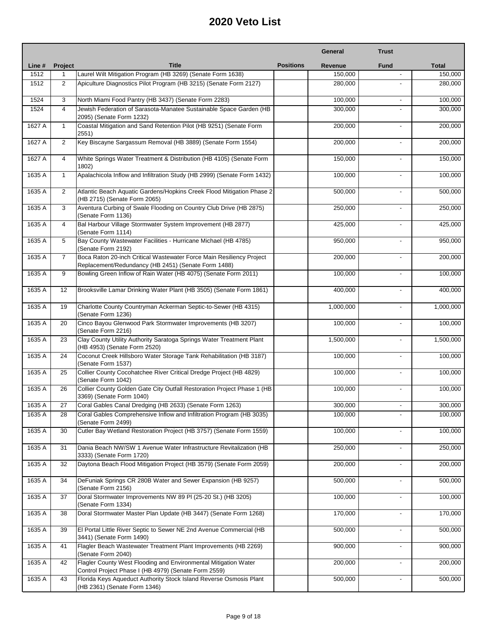|        |                |                                                                                                                             |                  | General   | <b>Trust</b>             |              |
|--------|----------------|-----------------------------------------------------------------------------------------------------------------------------|------------------|-----------|--------------------------|--------------|
| Line # | <b>Project</b> | <b>Title</b>                                                                                                                | <b>Positions</b> | Revenue   | <b>Fund</b>              | <b>Total</b> |
| 1512   | 1              | Laurel Wilt Mitigation Program (HB 3269) (Senate Form 1638)                                                                 |                  | 150,000   |                          | 150,000      |
| 1512   | $\overline{2}$ | Apiculture Diagnostics Pilot Program (HB 3215) (Senate Form 2127)                                                           |                  | 280,000   |                          | 280,000      |
| 1524   | 3              | North Miami Food Pantry (HB 3437) (Senate Form 2283)                                                                        |                  | 100,000   | $\blacksquare$           | 100,000      |
| 1524   | $\overline{4}$ | Jewish Federation of Sarasota-Manatee Sustainable Space Garden (HB<br>2095) (Senate Form 1232)                              |                  | 300,000   | $\overline{a}$           | 300,000      |
| 1627 A | $\mathbf{1}$   | Coastal Mitigation and Sand Retention Pilot (HB 9251) (Senate Form<br>2551)                                                 |                  | 200,000   | $\overline{a}$           | 200,000      |
| 1627 A | $\overline{2}$ | Key Biscayne Sargassum Removal (HB 3889) (Senate Form 1554)                                                                 |                  | 200,000   | $\overline{a}$           | 200,000      |
| 1627 A | $\overline{4}$ | White Springs Water Treatment & Distribution (HB 4105) (Senate Form<br>1802)                                                |                  | 150,000   |                          | 150,000      |
| 1635 A | $\mathbf{1}$   | Apalachicola Inflow and Infiltration Study (HB 2999) (Senate Form 1432)                                                     |                  | 100,000   | $\blacksquare$           | 100,000      |
| 1635 A | $\overline{2}$ | Atlantic Beach Aquatic Gardens/Hopkins Creek Flood Mitigation Phase 2<br>(HB 2715) (Senate Form 2065)                       |                  | 500,000   |                          | 500,000      |
| 1635 A | 3              | Aventura Curbing of Swale Flooding on Country Club Drive (HB 2875)<br>(Senate Form 1136)                                    |                  | 250,000   | $\blacksquare$           | 250,000      |
| 1635 A | 4              | Bal Harbour Village Stormwater System Improvement (HB 2877)<br>(Senate Form 1114)                                           |                  | 425,000   |                          | 425,000      |
| 1635 A | 5              | Bay County Wastewater Facilities - Hurricane Michael (HB 4785)<br>(Senate Form 2192)                                        |                  | 950,000   | $\blacksquare$           | 950,000      |
| 1635 A | $\overline{7}$ | Boca Raton 20-inch Critical Wastewater Force Main Resiliency Project<br>Replacement/Redundancy (HB 2451) (Senate Form 1488) |                  | 200,000   | $\blacksquare$           | 200,000      |
| 1635 A | 9              | Bowling Green Inflow of Rain Water (HB 4075) (Senate Form 2011)                                                             |                  | 100,000   |                          | 100,000      |
| 1635 A | 12             | Brooksville Lamar Drinking Water Plant (HB 3505) (Senate Form 1861)                                                         |                  | 400,000   | $\overline{\phantom{a}}$ | 400,000      |
| 1635 A | 19             | Charlotte County Countryman Ackerman Septic-to-Sewer (HB 4315)<br>(Senate Form 1236)                                        |                  | 1,000,000 |                          | 1,000,000    |
| 1635 A | 20             | Cinco Bayou Glenwood Park Stormwater Improvements (HB 3207)<br>(Senate Form 2216)                                           |                  | 100,000   | $\blacksquare$           | 100,000      |
| 1635 A | 23             | Clay County Utility Authority Saratoga Springs Water Treatment Plant<br>(HB 4953) (Senate Form 2520)                        |                  | 1,500,000 |                          | 1,500,000    |
| 1635 A | 24             | Coconut Creek Hillsboro Water Storage Tank Rehabilitation (HB 3187)<br>(Senate Form 1537)                                   |                  | 100,000   | $\blacksquare$           | 100,000      |
| 1635 A | 25             | Collier County Cocohatchee River Critical Dredge Project (HB 4829)<br>(Senate Form 1042)                                    |                  | 100,000   | $\blacksquare$           | 100,000      |
| 1635 A | 26             | Collier County Golden Gate City Outfall Restoration Project Phase 1 (HB<br>3369) (Senate Form 1040)                         |                  | 100,000   | $\blacksquare$           | 100,000      |
| 1635 A | 27             | Coral Gables Canal Dredging (HB 2633) (Senate Form 1263)                                                                    |                  | 300,000   |                          | 300,000      |
| 1635 A | 28             | Coral Gables Comprehensive Inflow and Infiltration Program (HB 3035)<br>(Senate Form 2499)                                  |                  | 100,000   |                          | 100,000      |
| 1635 A | 30             | Cutler Bay Wetland Restoration Project (HB 3757) (Senate Form 1559)                                                         |                  | 100,000   |                          | 100,000      |
| 1635 A | 31             | Dania Beach NW/SW 1 Avenue Water Infrastructure Revitalization (HB<br>3333) (Senate Form 1720)                              |                  | 250,000   | $\blacksquare$           | 250,000      |
| 1635 A | 32             | Daytona Beach Flood Mitigation Project (HB 3579) (Senate Form 2059)                                                         |                  | 200,000   |                          | 200,000      |
| 1635 A | 34             | DeFuniak Springs CR 280B Water and Sewer Expansion (HB 9257)<br>(Senate Form 2156)                                          |                  | 500,000   | $\blacksquare$           | 500,000      |
| 1635 A | 37             | Doral Stormwater Improvements NW 89 PI (25-20 St.) (HB 3205)<br>(Senate Form 1334)                                          |                  | 100,000   |                          | 100,000      |
| 1635 A | 38             | Doral Stormwater Master Plan Update (HB 3447) (Senate Form 1268)                                                            |                  | 170,000   | $\blacksquare$           | 170,000      |
| 1635 A | 39             | El Portal Little River Septic to Sewer NE 2nd Avenue Commercial (HB<br>3441) (Senate Form 1490)                             |                  | 500,000   | $\blacksquare$           | 500,000      |
| 1635 A | 41             | Flagler Beach Wastewater Treatment Plant Improvements (HB 2269)<br>(Senate Form 2040)                                       |                  | 900,000   |                          | 900,000      |
| 1635 A | 42             | Flagler County West Flooding and Environmental Mitigation Water<br>Control Project Phase I (HB 4979) (Senate Form 2559)     |                  | 200,000   |                          | 200,000      |
| 1635 A | 43             | Florida Keys Aqueduct Authority Stock Island Reverse Osmosis Plant<br>(HB 2361) (Senate Form 1346)                          |                  | 500,000   |                          | 500,000      |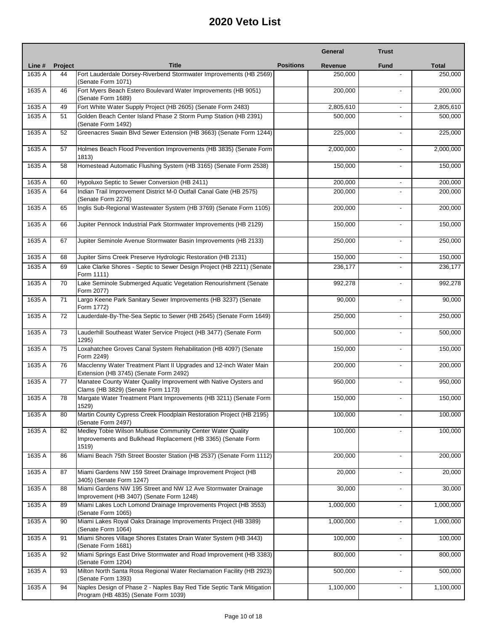|        |         |                                                                                                                                      |                  | General   | <b>Trust</b>             |              |
|--------|---------|--------------------------------------------------------------------------------------------------------------------------------------|------------------|-----------|--------------------------|--------------|
| Line # | Project | <b>Title</b>                                                                                                                         | <b>Positions</b> | Revenue   | <b>Fund</b>              | <b>Total</b> |
| 1635 A | 44      | Fort Lauderdale Dorsey-Riverbend Stormwater Improvements (HB 2569)<br>(Senate Form 1071)                                             |                  | 250.000   |                          | 250,000      |
| 1635 A | 46      | Fort Myers Beach Estero Boulevard Water Improvements (HB 9051)<br>(Senate Form 1689)                                                 |                  | 200,000   |                          | 200,000      |
| 1635 A | 49      | Fort White Water Supply Project (HB 2605) (Senate Form 2483)                                                                         |                  | 2,805,610 | $\overline{\phantom{a}}$ | 2,805,610    |
| 1635 A | 51      | Golden Beach Center Island Phase 2 Storm Pump Station (HB 2391)<br>(Senate Form 1492)                                                |                  | 500,000   |                          | 500,000      |
| 1635 A | 52      | Greenacres Swain Blvd Sewer Extension (HB 3663) (Senate Form 1244)                                                                   |                  | 225,000   | $\blacksquare$           | 225,000      |
| 1635 A | 57      | Holmes Beach Flood Prevention Improvements (HB 3835) (Senate Form<br>1813)                                                           |                  | 2,000,000 |                          | 2,000,000    |
| 1635 A | 58      | Homestead Automatic Flushing System (HB 3165) (Senate Form 2538)                                                                     |                  | 150,000   | ٠                        | 150,000      |
| 1635 A | 60      | Hypoluxo Septic to Sewer Conversion (HB 2411)                                                                                        |                  | 200,000   | $\overline{\phantom{0}}$ | 200,000      |
| 1635 A | 64      | Indian Trail Improvement District M-0 Outfall Canal Gate (HB 2575)<br>(Senate Form 2276)                                             |                  | 200,000   |                          | 200,000      |
| 1635 A | 65      | Inglis Sub-Regional Wastewater System (HB 3769) (Senate Form 1105)                                                                   |                  | 200,000   |                          | 200,000      |
| 1635 A | 66      | Jupiter Pennock Industrial Park Stormwater Improvements (HB 2129)                                                                    |                  | 150,000   |                          | 150,000      |
| 1635 A | 67      | Jupiter Seminole Avenue Stormwater Basin Improvements (HB 2133)                                                                      |                  | 250,000   | ٠                        | 250,000      |
| 1635 A | 68      | Jupiter Sims Creek Preserve Hydrologic Restoration (HB 2131)                                                                         |                  | 150,000   | $\overline{\phantom{a}}$ | 150,000      |
| 1635 A | 69      | Lake Clarke Shores - Septic to Sewer Design Project (HB 2211) (Senate<br>Form 1111)                                                  |                  | 236,177   | $\overline{\phantom{0}}$ | 236,177      |
| 1635 A | 70      | Lake Seminole Submerged Aquatic Vegetation Renourishment (Senate<br>Form 2077)                                                       |                  | 992,278   |                          | 992,278      |
| 1635 A | 71      | Largo Keene Park Sanitary Sewer Improvements (HB 3237) (Senate<br>Form 1772)                                                         |                  | 90,000    | ٠                        | 90,000       |
| 1635 A | 72      | Lauderdale-By-The-Sea Septic to Sewer (HB 2645) (Senate Form 1649)                                                                   |                  | 250,000   |                          | 250,000      |
| 1635 A | 73      | Lauderhill Southeast Water Service Project (HB 3477) (Senate Form<br>1295)                                                           |                  | 500,000   | ٠                        | 500,000      |
| 1635 A | 75      | Loxahatchee Groves Canal System Rehabilitation (HB 4097) (Senate<br>Form 2249)                                                       |                  | 150,000   |                          | 150,000      |
| 1635 A | 76      | Macclenny Water Treatment Plant II Upgrades and 12-inch Water Main<br>Extension (HB 3745) (Senate Form 2492)                         |                  | 200,000   | ٠                        | 200,000      |
| 1635 A | 77      | Manatee County Water Quality Improvement with Native Oysters and<br>Clams (HB 3829) (Senate Form 1173)                               |                  | 950,000   | ٠                        | 950,000      |
| 1635 A | 78      | Margate Water Treatment Plant Improvements (HB 3211) (Senate Form<br>1529)                                                           |                  | 150,000   | $\blacksquare$           | 150,000      |
| 1635 A | 80      | Martin County Cypress Creek Floodplain Restoration Project (HB 2195)<br>(Senate Form 2497)                                           |                  | 100,000   |                          | 100,000      |
| 1635 A | 82      | Medley Tobie Wilson Multiuse Community Center Water Quality<br>Improvements and Bulkhead Replacement (HB 3365) (Senate Form<br>1519) |                  | 100,000   |                          | 100,000      |
| 1635 A | 86      | Miami Beach 75th Street Booster Station (HB 2537) (Senate Form 1112)                                                                 |                  | 200,000   | $\overline{\phantom{a}}$ | 200,000      |
| 1635 A | 87      | Miami Gardens NW 159 Street Drainage Improvement Project (HB<br>3405) (Senate Form 1247)                                             |                  | 20,000    | $\mathbf{r}$             | 20,000       |
| 1635 A | 88      | Miami Gardens NW 195 Street and NW 12 Ave Stormwater Drainage<br>Improvement (HB 3407) (Senate Form 1248)                            |                  | 30,000    |                          | 30,000       |
| 1635 A | 89      | Miami Lakes Loch Lomond Drainage Improvements Project (HB 3553)<br>(Senate Form 1065)                                                |                  | 1,000,000 | L.                       | 1,000,000    |
| 1635 A | 90      | Miami Lakes Royal Oaks Drainage Improvements Project (HB 3389)<br>(Senate Form 1064)                                                 |                  | 1,000,000 |                          | 1,000,000    |
| 1635 A | 91      | Miami Shores Village Shores Estates Drain Water System (HB 3443)<br>(Senate Form 1681)                                               |                  | 100,000   | ٠                        | 100,000      |
| 1635 A | 92      | Miami Springs East Drive Stormwater and Road Improvement (HB 3383)<br>(Senate Form 1204)                                             |                  | 800,000   |                          | 800,000      |
| 1635 A | 93      | Milton North Santa Rosa Regional Water Reclamation Facility (HB 2923)<br>(Senate Form 1393)                                          |                  | 500,000   | ٠                        | 500,000      |
| 1635 A | 94      | Naples Design of Phase 2 - Naples Bay Red Tide Septic Tank Mitigation<br>Program (HB 4835) (Senate Form 1039)                        |                  | 1,100,000 | ٠                        | 1,100,000    |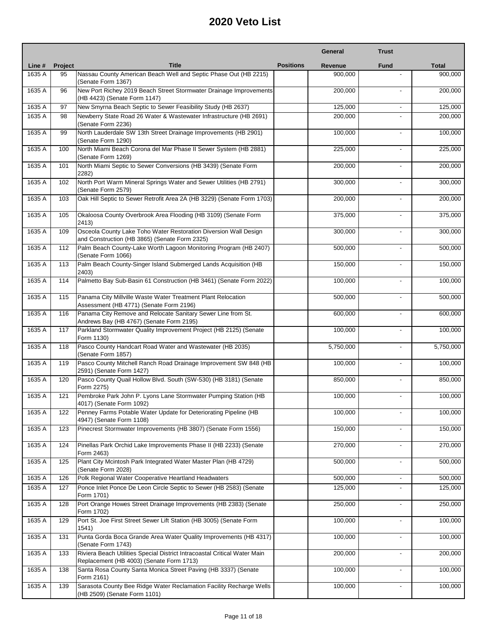|        |         |                                                                                                                       |                  | General   | <b>Trust</b>             |              |
|--------|---------|-----------------------------------------------------------------------------------------------------------------------|------------------|-----------|--------------------------|--------------|
| Line # | Project | <b>Title</b>                                                                                                          | <b>Positions</b> | Revenue   | <b>Fund</b>              | <b>Total</b> |
| 1635 A | 95      | Nassau County American Beach Well and Septic Phase Out (HB 2215)<br>(Senate Form 1367)                                |                  | 900,000   |                          | 900,000      |
| 1635 A | 96      | New Port Richey 2019 Beach Street Stormwater Drainage Improvements<br>(HB 4423) (Senate Form 1147)                    |                  | 200,000   |                          | 200,000      |
| 1635 A | 97      | New Smyrna Beach Septic to Sewer Feasibility Study (HB 2637)                                                          |                  | 125,000   | $\overline{\phantom{a}}$ | 125,000      |
| 1635 A | 98      | Newberry State Road 26 Water & Wastewater Infrastructure (HB 2691)<br>(Senate Form 2236)                              |                  | 200,000   |                          | 200,000      |
| 1635 A | 99      | North Lauderdale SW 13th Street Drainage Improvements (HB 2901)<br>(Senate Form 1290)                                 |                  | 100,000   | $\overline{a}$           | 100,000      |
| 1635 A | 100     | North Miami Beach Corona del Mar Phase II Sewer System (HB 2881)<br>(Senate Form 1269)                                |                  | 225,000   |                          | 225,000      |
| 1635 A | 101     | North Miami Septic to Sewer Conversions (HB 3439) (Senate Form<br>2282)                                               |                  | 200,000   | ٠                        | 200,000      |
| 1635 A | 102     | North Port Warm Mineral Springs Water and Sewer Utilities (HB 2791)<br>(Senate Form 2579)                             |                  | 300,000   |                          | 300,000      |
| 1635 A | 103     | Oak Hill Septic to Sewer Retrofit Area 2A (HB 3229) (Senate Form 1703)                                                |                  | 200,000   | $\overline{a}$           | 200,000      |
| 1635 A | 105     | Okaloosa County Overbrook Area Flooding (HB 3109) (Senate Form<br>2413)                                               |                  | 375,000   |                          | 375,000      |
| 1635 A | 109     | Osceola County Lake Toho Water Restoration Diversion Wall Design<br>and Construction (HB 3865) (Senate Form 2325)     |                  | 300,000   | ٠                        | 300,000      |
| 1635 A | 112     | Palm Beach County-Lake Worth Lagoon Monitoring Program (HB 2407)<br>(Senate Form 1066)                                |                  | 500.000   | $\blacksquare$           | 500,000      |
| 1635 A | 113     | Palm Beach County-Singer Island Submerged Lands Acquisition (HB<br>2403)                                              |                  | 150,000   | $\overline{a}$           | 150,000      |
| 1635 A | 114     | Palmetto Bay Sub-Basin 61 Construction (HB 3461) (Senate Form 2022)                                                   |                  | 100,000   | $\overline{a}$           | 100,000      |
| 1635 A | 115     | Panama City Millville Waste Water Treatment Plant Relocation<br>Assessment (HB 4771) (Senate Form 2196)               |                  | 500,000   |                          | 500,000      |
| 1635 A | 116     | Panama City Remove and Relocate Sanitary Sewer Line from St.<br>Andrews Bay (HB 4767) (Senate Form 2195)              |                  | 600,000   | ٠                        | 600,000      |
| 1635 A | 117     | Parkland Stormwater Quality Improvement Project (HB 2125) (Senate<br>Form 1130)                                       |                  | 100,000   |                          | 100,000      |
| 1635 A | 118     | Pasco County Handcart Road Water and Wastewater (HB 2035)<br>(Senate Form 1857)                                       |                  | 5,750,000 | $\overline{\phantom{0}}$ | 5,750,000    |
| 1635 A | 119     | Pasco County Mitchell Ranch Road Drainage Improvement SW 848 (HB<br>2591) (Senate Form 1427)                          |                  | 100,000   |                          | 100,000      |
| 1635 A | 120     | Pasco County Quail Hollow Blvd. South (SW-530) (HB 3181) (Senate<br>Form 2275)                                        |                  | 850,000   |                          | 850,000      |
| 1635 A | 121     | Pembroke Park John P. Lyons Lane Stormwater Pumping Station (HB<br>4017) (Senate Form 1092)                           |                  | 100,000   | $\overline{a}$           | 100,000      |
| 1635 A | 122     | Penney Farms Potable Water Update for Deteriorating Pipeline (HB<br>4947) (Senate Form 1108)                          |                  | 100,000   |                          | 100,000      |
| 1635 A | 123     | Pinecrest Stormwater Improvements (HB 3807) (Senate Form 1556)                                                        |                  | 150,000   |                          | 150,000      |
| 1635 A | 124     | Pinellas Park Orchid Lake Improvements Phase II (HB 2233) (Senate<br>Form 2463)                                       |                  | 270,000   |                          | 270,000      |
| 1635 A | 125     | Plant City Mcintosh Park Integrated Water Master Plan (HB 4729)<br>(Senate Form 2028)                                 |                  | 500,000   | L.                       | 500,000      |
| 1635 A | 126     | Polk Regional Water Cooperative Heartland Headwaters                                                                  |                  | 500,000   |                          | 500,000      |
| 1635 A | 127     | Ponce Inlet Ponce De Leon Circle Septic to Sewer (HB 2583) (Senate<br>Form 1701)                                      |                  | 125,000   |                          | 125,000      |
| 1635 A | 128     | Port Orange Howes Street Drainage Improvements (HB 2383) (Senate<br>Form 1702)                                        |                  | 250,000   | ÷,                       | 250,000      |
| 1635 A | 129     | Port St. Joe First Street Sewer Lift Station (HB 3005) (Senate Form<br>1541)                                          |                  | 100,000   | L.                       | 100,000      |
| 1635 A | 131     | Punta Gorda Boca Grande Area Water Quality Improvements (HB 4317)<br>(Senate Form 1743)                               |                  | 100,000   | ٠                        | 100,000      |
| 1635 A | 133     | Riviera Beach Utilities Special District Intracoastal Critical Water Main<br>Replacement (HB 4003) (Senate Form 1713) |                  | 200,000   | L.                       | 200,000      |
| 1635 A | 138     | Santa Rosa County Santa Monica Street Paving (HB 3337) (Senate<br>Form 2161)                                          |                  | 100,000   |                          | 100,000      |
| 1635 A | 139     | Sarasota County Bee Ridge Water Reclamation Facility Recharge Wells<br>(HB 2509) (Senate Form 1101)                   |                  | 100,000   |                          | 100,000      |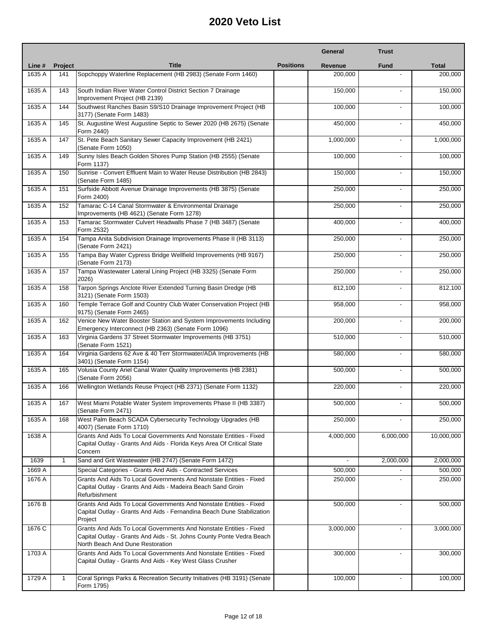|        |         |                                                                                                                                                                                 |                  | General        | <b>Trust</b>             |              |
|--------|---------|---------------------------------------------------------------------------------------------------------------------------------------------------------------------------------|------------------|----------------|--------------------------|--------------|
| Line # | Project | <b>Title</b>                                                                                                                                                                    | <b>Positions</b> | Revenue        | <b>Fund</b>              | <b>Total</b> |
| 1635 A | 141     | Sopchoppy Waterline Replacement (HB 2983) (Senate Form 1460)                                                                                                                    |                  | 200,000        |                          | 200,000      |
| 1635 A | 143     | South Indian River Water Control District Section 7 Drainage<br>Improvement Project (HB 2139)                                                                                   |                  | 150,000        |                          | 150,000      |
| 1635 A | 144     | Southwest Ranches Basin S9/S10 Drainage Improvement Project (HB<br>3177) (Senate Form 1483)                                                                                     |                  | 100,000        | $\overline{\phantom{a}}$ | 100,000      |
| 1635 A | 145     | St. Augustine West Augustine Septic to Sewer 2020 (HB 2675) (Senate<br>Form 2440)                                                                                               |                  | 450,000        | $\blacksquare$           | 450,000      |
| 1635 A | 147     | St. Pete Beach Sanitary Sewer Capacity Improvement (HB 2421)<br>(Senate Form 1050)                                                                                              |                  | 1,000,000      |                          | 1,000,000    |
| 1635 A | 149     | Sunny Isles Beach Golden Shores Pump Station (HB 2555) (Senate<br>Form 1137)                                                                                                    |                  | 100,000        | $\overline{a}$           | 100,000      |
| 1635 A | 150     | Sunrise - Convert Effluent Main to Water Reuse Distribution (HB 2843)<br>(Senate Form 1485)                                                                                     |                  | 150,000        |                          | 150,000      |
| 1635 A | 151     | Surfside Abbott Avenue Drainage Improvements (HB 3875) (Senate<br>Form 2400)                                                                                                    |                  | 250,000        | L.                       | 250,000      |
| 1635 A | 152     | Tamarac C-14 Canal Stormwater & Environmental Drainage<br>Improvements (HB 4621) (Senate Form 1278)                                                                             |                  | 250,000        |                          | 250,000      |
| 1635 A | 153     | Tamarac Stormwater Culvert Headwalls Phase 7 (HB 3487) (Senate<br>Form 2532)                                                                                                    |                  | 400,000        | $\blacksquare$           | 400,000      |
| 1635 A | 154     | Tampa Anita Subdivision Drainage Improvements Phase II (HB 3113)<br>(Senate Form 2421)                                                                                          |                  | 250,000        | $\overline{a}$           | 250,000      |
| 1635 A | 155     | Tampa Bay Water Cypress Bridge Wellfield Improvements (HB 9167)<br>(Senate Form 2173)                                                                                           |                  | 250,000        | $\overline{a}$           | 250,000      |
| 1635 A | 157     | Tampa Wastewater Lateral Lining Project (HB 3325) (Senate Form<br>2026)                                                                                                         |                  | 250,000        | $\blacksquare$           | 250,000      |
| 1635 A | 158     | Tarpon Springs Anclote River Extended Turning Basin Dredge (HB<br>3121) (Senate Form 1503)                                                                                      |                  | 812,100        |                          | 812,100      |
| 1635 A | 160     | Temple Terrace Golf and Country Club Water Conservation Project (HB<br>9175) (Senate Form 2465)                                                                                 |                  | 958,000        | ٠                        | 958,000      |
| 1635 A | 162     | Venice New Water Booster Station and System Improvements Including<br>Emergency Interconnect (HB 2363) (Senate Form 1096)                                                       |                  | 200,000        |                          | 200,000      |
| 1635 A | 163     | Virginia Gardens 37 Street Stormwater Improvements (HB 3751)<br>(Senate Form 1521)                                                                                              |                  | 510,000        | ٠                        | 510,000      |
| 1635 A | 164     | Virginia Gardens 62 Ave & 40 Terr Stormwater/ADA Improvements (HB<br>3401) (Senate Form 1154)                                                                                   |                  | 580,000        |                          | 580,000      |
| 1635 A | 165     | Volusia County Ariel Canal Water Quality Improvements (HB 2381)<br>(Senate Form 2056)                                                                                           |                  | 500,000        |                          | 500,000      |
| 1635 A | 166     | Wellington Wetlands Reuse Project (HB 2371) (Senate Form 1132)                                                                                                                  |                  | 220,000        | L.                       | 220,000      |
| 1635A  | 167     | West Miami Potable Water System Improvements Phase II (HB 3387)<br>(Senate Form 2471)                                                                                           |                  | 500,000        |                          | 500,000      |
| 1635 A | 168     | West Palm Beach SCADA Cybersecurity Technology Upgrades (HB<br>4007) (Senate Form 1710)                                                                                         |                  | 250,000        |                          | 250,000      |
| 1638 A |         | Grants And Aids To Local Governments And Nonstate Entities - Fixed<br>Capital Outlay - Grants And Aids - Florida Keys Area Of Critical State<br>Concern                         |                  | 4,000,000      | 6,000,000                | 10,000,000   |
| 1639   | 1       | Sand and Grit Wastewater (HB 2747) (Senate Form 1472)                                                                                                                           |                  | $\blacksquare$ | 2,000,000                | 2,000,000    |
| 1669 A |         | Special Categories - Grants And Aids - Contracted Services                                                                                                                      |                  | 500,000        |                          | 500,000      |
| 1676 A |         | Grants And Aids To Local Governments And Nonstate Entities - Fixed<br>Capital Outlay - Grants And Aids - Madeira Beach Sand Groin<br>Refurbishment                              |                  | 250,000        |                          | 250,000      |
| 1676 B |         | Grants And Aids To Local Governments And Nonstate Entities - Fixed<br>Capital Outlay - Grants And Aids - Fernandina Beach Dune Stabilization<br>Project                         |                  | 500,000        | $\overline{\phantom{a}}$ | 500,000      |
| 1676 C |         | Grants And Aids To Local Governments And Nonstate Entities - Fixed<br>Capital Outlay - Grants And Aids - St. Johns County Ponte Vedra Beach<br>North Beach And Dune Restoration |                  | 3,000,000      | ٠                        | 3,000,000    |
| 1703 A |         | Grants And Aids To Local Governments And Nonstate Entities - Fixed<br>Capital Outlay - Grants And Aids - Key West Glass Crusher                                                 |                  | 300,000        | $\blacksquare$           | 300,000      |
| 1729 A | 1       | Coral Springs Parks & Recreation Security Initiatives (HB 3191) (Senate<br>Form 1795)                                                                                           |                  | 100,000        |                          | 100,000      |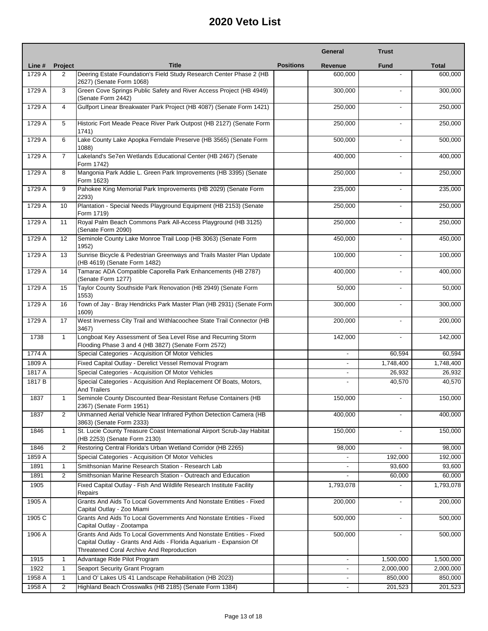|        |                |                                                                                                                                                                                       |                  | General        | <b>Trust</b>             |              |
|--------|----------------|---------------------------------------------------------------------------------------------------------------------------------------------------------------------------------------|------------------|----------------|--------------------------|--------------|
| Line # | <b>Project</b> | <b>Title</b>                                                                                                                                                                          | <b>Positions</b> | <b>Revenue</b> | <b>Fund</b>              | <b>Total</b> |
| 1729 A | 2              | Deering Estate Foundation's Field Study Research Center Phase 2 (HB<br>2627) (Senate Form 1068)                                                                                       |                  | 600,000        |                          | 600,000      |
| 1729 A | 3              | Green Cove Springs Public Safety and River Access Project (HB 4949)<br>(Senate Form 2442)                                                                                             |                  | 300,000        |                          | 300,000      |
| 1729 A | 4              | Gulfport Linear Breakwater Park Project (HB 4087) (Senate Form 1421)                                                                                                                  |                  | 250,000        | ٠                        | 250,000      |
| 1729 A | 5              | Historic Fort Meade Peace River Park Outpost (HB 2127) (Senate Form<br>1741)                                                                                                          |                  | 250,000        | ÷.                       | 250,000      |
| 1729 A | 6              | Lake County Lake Apopka Ferndale Preserve (HB 3565) (Senate Form<br>1088)                                                                                                             |                  | 500,000        | $\overline{a}$           | 500,000      |
| 1729 A | $\overline{7}$ | Lakeland's Se7en Wetlands Educational Center (HB 2467) (Senate<br>Form 1742)                                                                                                          |                  | 400,000        | $\overline{a}$           | 400,000      |
| 1729 A | 8              | Mangonia Park Addie L. Green Park Improvements (HB 3395) (Senate<br>Form 1623)                                                                                                        |                  | 250,000        |                          | 250,000      |
| 1729 A | 9              | Pahokee King Memorial Park Improvements (HB 2029) (Senate Form<br>2293)                                                                                                               |                  | 235,000        | $\overline{a}$           | 235,000      |
| 1729 A | 10             | Plantation - Special Needs Playground Equipment (HB 2153) (Senate<br>Form 1719)                                                                                                       |                  | 250.000        |                          | 250,000      |
| 1729 A | 11             | Royal Palm Beach Commons Park All-Access Playground (HB 3125)<br>(Senate Form 2090)                                                                                                   |                  | 250,000        | $\overline{\phantom{a}}$ | 250,000      |
| 1729 A | 12             | Seminole County Lake Monroe Trail Loop (HB 3063) (Senate Form<br>1952)                                                                                                                |                  | 450,000        |                          | 450,000      |
| 1729 A | 13             | Sunrise Bicycle & Pedestrian Greenways and Trails Master Plan Update<br>(HB 4619) (Senate Form 1482)                                                                                  |                  | 100,000        |                          | 100,000      |
| 1729 A | 14             | Tamarac ADA Compatible Caporella Park Enhancements (HB 2787)<br>(Senate Form 1277)                                                                                                    |                  | 400.000        | $\blacksquare$           | 400,000      |
| 1729 A | 15             | Taylor County Southside Park Renovation (HB 2949) (Senate Form<br>1553)                                                                                                               |                  | 50,000         | $\overline{a}$           | 50,000       |
| 1729 A | 16             | Town of Jay - Bray Hendricks Park Master Plan (HB 2931) (Senate Form<br>1609)                                                                                                         |                  | 300,000        |                          | 300,000      |
| 1729 A | 17             | West Inverness City Trail and Withlacoochee State Trail Connector (HB<br>3467)                                                                                                        |                  | 200,000        |                          | 200,000      |
| 1738   | $\mathbf{1}$   | Longboat Key Assessment of Sea Level Rise and Recurring Storm<br>Flooding Phase 3 and 4 (HB 3827) (Senate Form 2572)                                                                  |                  | 142,000        | ٠                        | 142,000      |
| 1774 A |                | Special Categories - Acquisition Of Motor Vehicles                                                                                                                                    |                  |                | 60,594                   | 60,594       |
| 1809 A |                | Fixed Capital Outlay - Derelict Vessel Removal Program                                                                                                                                |                  |                | 1,748,400                | 1,748,400    |
| 1817 A |                | Special Categories - Acquisition Of Motor Vehicles                                                                                                                                    |                  | $\blacksquare$ | 26,932                   | 26,932       |
| 1817 B |                | Special Categories - Acquisition And Replacement Of Boats, Motors,<br><b>And Trailers</b>                                                                                             |                  |                | 40,570                   | 40,570       |
| 1837   | $\mathbf{1}$   | Seminole County Discounted Bear-Resistant Refuse Containers (HB<br>2367) (Senate Form 1951)                                                                                           |                  | 150,000        | $\blacksquare$           | 150,000      |
| 1837   | 2              | Unmanned Aerial Vehicle Near Infrared Python Detection Camera (HB<br>3863) (Senate Form 2333)                                                                                         |                  | 400,000        | $\overline{a}$           | 400.000      |
| 1846   | $\mathbf{1}$   | St. Lucie County Treasure Coast International Airport Scrub-Jay Habitat<br>(HB 2253) (Senate Form 2130)                                                                               |                  | 150,000        |                          | 150,000      |
| 1846   | $\overline{2}$ | Restoring Central Florida's Urban Wetland Corridor (HB 2265)                                                                                                                          |                  | 98,000         |                          | 98,000       |
| 1859 A |                | Special Categories - Acquisition Of Motor Vehicles                                                                                                                                    |                  |                | 192,000                  | 192,000      |
| 1891   | $\mathbf{1}$   | Smithsonian Marine Research Station - Research Lab                                                                                                                                    |                  | $\blacksquare$ | 93,600                   | 93,600       |
| 1891   | $\overline{2}$ | Smithsonian Marine Research Station - Outreach and Education                                                                                                                          |                  |                | 60,000                   | 60,000       |
| 1905   |                | Fixed Capital Outlay - Fish And Wildlife Research Institute Facility<br>Repairs                                                                                                       |                  | 1,793,078      |                          | 1,793,078    |
| 1905 A |                | Grants And Aids To Local Governments And Nonstate Entities - Fixed<br>Capital Outlay - Zoo Miami                                                                                      |                  | 200,000        |                          | 200,000      |
| 1905 C |                | Grants And Aids To Local Governments And Nonstate Entities - Fixed<br>Capital Outlay - Zootampa                                                                                       |                  | 500,000        |                          | 500,000      |
| 1906 A |                | Grants And Aids To Local Governments And Nonstate Entities - Fixed<br>Capital Outlay - Grants And Aids - Florida Aguarium - Expansion Of<br>Threatened Coral Archive And Reproduction |                  | 500,000        | ٠                        | 500,000      |
| 1915   | $\mathbf{1}$   | Advantage Ride Pilot Program                                                                                                                                                          |                  | $\blacksquare$ | 1,500,000                | 1,500,000    |
| 1922   | 1              | Seaport Security Grant Program                                                                                                                                                        |                  |                | 2,000,000                | 2,000,000    |
| 1958 A | $\mathbf{1}$   | Land O' Lakes US 41 Landscape Rehabilitation (HB 2023)                                                                                                                                |                  |                | 850,000                  | 850,000      |
| 1958 A | $\overline{2}$ | Highland Beach Crosswalks (HB 2185) (Senate Form 1384)                                                                                                                                |                  |                | 201,523                  | 201,523      |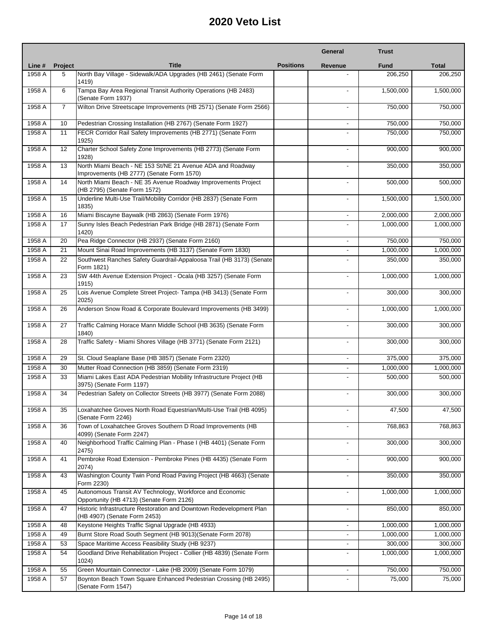|                  |                |                                                                                                                             |                  | General                  | <b>Trust</b>         |                      |
|------------------|----------------|-----------------------------------------------------------------------------------------------------------------------------|------------------|--------------------------|----------------------|----------------------|
| Line #           | Project        | <b>Title</b>                                                                                                                | <b>Positions</b> | Revenue                  | <b>Fund</b>          | <b>Total</b>         |
| 1958 A           | 5              | North Bay Village - Sidewalk/ADA Upgrades (HB 2461) (Senate Form<br>1419)                                                   |                  |                          | 206,250              | 206,250              |
| 1958 A           | 6              | Tampa Bay Area Regional Transit Authority Operations (HB 2483)<br>(Senate Form 1937)                                        |                  |                          | 1,500,000            | 1,500,000            |
| 1958 A           | $\overline{7}$ | Wilton Drive Streetscape Improvements (HB 2571) (Senate Form 2566)                                                          |                  |                          | 750,000              | 750,000              |
| 1958 A           | 10             | Pedestrian Crossing Installation (HB 2767) (Senate Form 1927)                                                               |                  |                          | 750,000              | 750,000              |
| 1958 A           | 11             | FECR Corridor Rail Safety Improvements (HB 2771) (Senate Form<br>1925)                                                      |                  |                          | 750,000              | 750,000              |
| 1958 A           | 12             | Charter School Safety Zone Improvements (HB 2773) (Senate Form<br>1928)                                                     |                  |                          | 900,000              | 900,000              |
| 1958 A           | 13             | North Miami Beach - NE 153 St/NE 21 Avenue ADA and Roadway<br>Improvements (HB 2777) (Senate Form 1570)                     |                  | $\overline{a}$           | 350,000              | 350,000              |
| 1958 A           | 14             | North Miami Beach - NE 35 Avenue Roadway Improvements Project<br>(HB 2795) (Senate Form 1572)                               |                  |                          | 500,000              | 500,000              |
| 1958 A           | 15             | Underline Multi-Use Trail/Mobility Corridor (HB 2837) (Senate Form<br>1835)                                                 |                  |                          | 1,500,000            | 1,500,000            |
| 1958 A           | 16             | Miami Biscayne Baywalk (HB 2863) (Senate Form 1976)                                                                         |                  |                          | 2,000,000            | 2,000,000            |
| 1958 A           | 17             | Sunny Isles Beach Pedestrian Park Bridge (HB 2871) (Senate Form<br>1420)                                                    |                  |                          | 1.000.000            | 1,000,000            |
| 1958 A           | 20             | Pea Ridge Connector (HB 2937) (Senate Form 2160)                                                                            |                  | $\overline{\phantom{a}}$ | 750,000              | 750,000              |
| 1958 A           | 21             | Mount Sinai Road Improvements (HB 3137) (Senate Form 1830)                                                                  |                  | $\blacksquare$           | 1,000,000            | 1,000,000            |
| 1958 A           | 22             | Southwest Ranches Safety Guardrail-Appaloosa Trail (HB 3173) (Senate<br>Form 1821)                                          |                  |                          | 350,000              | 350,000              |
| 1958 A           | 23             | SW 44th Avenue Extension Project - Ocala (HB 3257) (Senate Form<br>1915)                                                    |                  |                          | 1,000,000            | 1,000,000            |
| 1958 A           | 25             | Lois Avenue Complete Street Project- Tampa (HB 3413) (Senate Form<br>2025)                                                  |                  |                          | 300,000              | 300,000              |
| 1958 A           | 26             | Anderson Snow Road & Corporate Boulevard Improvements (HB 3499)                                                             |                  | $\overline{a}$           | 1,000,000            | 1,000,000            |
| 1958 A           | 27             | Traffic Calming Horace Mann Middle School (HB 3635) (Senate Form<br>1840)                                                   |                  |                          | 300,000              | 300,000              |
| 1958 A           | 28             | Traffic Safety - Miami Shores Village (HB 3771) (Senate Form 2121)                                                          |                  |                          | 300,000              | 300,000              |
| 1958 A           | 29             | St. Cloud Seaplane Base (HB 3857) (Senate Form 2320)                                                                        |                  |                          | 375,000              | 375,000              |
| 1958 A           | 30             | Mutter Road Connection (HB 3859) (Senate Form 2319)                                                                         |                  | $\blacksquare$           | 1,000,000            | 1,000,000            |
| 1958 A           | 33             | Miami Lakes East ADA Pedestrian Mobility Infrastructure Project (HB<br>3975) (Senate Form 1197)                             |                  |                          | 500.000              | 500,000              |
| 1958 A           | 34             | Pedestrian Safety on Collector Streets (HB 3977) (Senate Form 2088)                                                         |                  |                          | 300,000              | 300,000              |
| 1958 A           | 35             | Loxahatchee Groves North Road Equestrian/Multi-Use Trail (HB 4095)<br>(Senate Form 2246)                                    |                  |                          | 47,500               | 47,500               |
| 1958 A           | 36             | Town of Loxahatchee Groves Southern D Road Improvements (HB<br>4099) (Senate Form 2247)                                     |                  |                          | 768,863              | 768,863              |
| 1958 A           | 40             | Neighborhood Traffic Calming Plan - Phase I (HB 4401) (Senate Form<br>2475)                                                 |                  | $\overline{a}$           | 300,000              | 300,000              |
| 1958 A           | 41             | Pembroke Road Extension - Pembroke Pines (HB 4435) (Senate Form<br>2074)                                                    |                  |                          | 900,000              | 900,000              |
| 1958 A           | 43             | Washington County Twin Pond Road Paving Project (HB 4663) (Senate<br>Form 2230)                                             |                  |                          | 350,000              | 350,000              |
| 1958 A           | 45             | Autonomous Transit AV Technology, Workforce and Economic<br>Opportunity (HB 4713) (Senate Form 2126)                        |                  |                          | 1,000,000            | 1,000,000            |
| 1958 A           | 47             | Historic Infrastructure Restoration and Downtown Redevelopment Plan<br>(HB 4907) (Senate Form 2453)                         |                  | $\blacksquare$           | 850,000              | 850,000              |
| 1958 A           | 48             | Keystone Heights Traffic Signal Upgrade (HB 4933)                                                                           |                  |                          | 1,000,000            | 1,000,000            |
| 1958 A           | 49             | Burnt Store Road South Segment (HB 9013)(Senate Form 2078)                                                                  |                  |                          | 1,000,000            | 1,000,000            |
| 1958 A<br>1958 A | 53<br>54       | Space Maritime Access Feasibility Study (HB 9237)<br>Goodland Drive Rehabilitation Project - Collier (HB 4839) (Senate Form |                  |                          | 300,000<br>1,000,000 | 300,000<br>1,000,000 |
| 1958 A           | 55             | 1024)<br>Green Mountain Connector - Lake (HB 2009) (Senate Form 1079)                                                       |                  | $\overline{\phantom{a}}$ | 750,000              | 750,000              |
| 1958 A           | 57             | Boynton Beach Town Square Enhanced Pedestrian Crossing (HB 2495)                                                            |                  |                          | 75,000               | 75,000               |
|                  |                | (Senate Form 1547)                                                                                                          |                  |                          |                      |                      |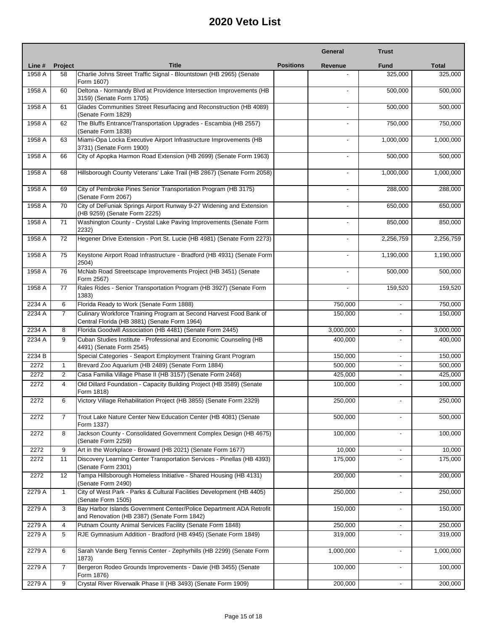|        |                |                                                                                                                    |                  | <b>General</b> | <b>Trust</b>             |              |
|--------|----------------|--------------------------------------------------------------------------------------------------------------------|------------------|----------------|--------------------------|--------------|
| Line # | <b>Project</b> | <b>Title</b>                                                                                                       | <b>Positions</b> | Revenue        | <b>Fund</b>              | <b>Total</b> |
| 1958 A | 58             | Charlie Johns Street Traffic Signal - Blountstown (HB 2965) (Senate<br>Form 1607)                                  |                  |                | 325.000                  | 325,000      |
| 1958 A | 60             | Deltona - Normandy Blvd at Providence Intersection Improvements (HB<br>3159) (Senate Form 1705)                    |                  |                | 500.000                  | 500,000      |
| 1958 A | 61             | Glades Communities Street Resurfacing and Reconstruction (HB 4089)<br>(Senate Form 1829)                           |                  |                | 500,000                  | 500,000      |
| 1958 A | 62             | The Bluffs Entrance/Transportation Upgrades - Escambia (HB 2557)<br>(Senate Form 1838)                             |                  |                | 750,000                  | 750,000      |
| 1958 A | 63             | Miami-Opa Locka Executive Airport Infrastructure Improvements (HB<br>3731) (Senate Form 1900)                      |                  |                | 1,000,000                | 1,000,000    |
| 1958 A | 66             | City of Apopka Harmon Road Extension (HB 2699) (Senate Form 1963)                                                  |                  | $\overline{a}$ | 500.000                  | 500,000      |
| 1958 A | 68             | Hillsborough County Veterans' Lake Trail (HB 2867) (Senate Form 2058)                                              |                  |                | 1,000,000                | 1,000,000    |
| 1958 A | 69             | City of Pembroke Pines Senior Transportation Program (HB 3175)<br>(Senate Form 2067)                               |                  |                | 288,000                  | 288,000      |
| 1958 A | 70             | City of DeFuniak Springs Airport Runway 9-27 Widening and Extension<br>(HB 9259) (Senate Form 2225)                |                  |                | 650,000                  | 650,000      |
| 1958 A | 71             | Washington County - Crystal Lake Paving Improvements (Senate Form<br>2232)                                         |                  |                | 850,000                  | 850,000      |
| 1958 A | 72             | Hegener Drive Extension - Port St. Lucie (HB 4981) (Senate Form 2273)                                              |                  |                | 2,256,759                | 2,256,759    |
| 1958 A | 75             | Keystone Airport Road Infrastructure - Bradford (HB 4931) (Senate Form<br>2504)                                    |                  |                | 1,190,000                | 1,190,000    |
| 1958 A | 76             | McNab Road Streetscape Improvements Project (HB 3451) (Senate<br>Form 2567)                                        |                  |                | 500.000                  | 500,000      |
| 1958 A | 77             | Rales Rides - Senior Transportation Program (HB 3927) (Senate Form<br>1383)                                        |                  | $\blacksquare$ | 159,520                  | 159,520      |
| 2234 A | 6              | Florida Ready to Work (Senate Form 1888)                                                                           |                  | 750,000        | L.                       | 750,000      |
| 2234 A | $\overline{7}$ | Culinary Workforce Training Program at Second Harvest Food Bank of<br>Central Florida (HB 3881) (Senate Form 1964) |                  | 150,000        | $\overline{a}$           | 150,000      |
| 2234 A | 8              | Florida Goodwill Association (HB 4481) (Senate Form 2445)                                                          |                  | 3,000,000      |                          | 3,000,000    |
| 2234 A | 9              | Cuban Studies Institute - Professional and Economic Counseling (HB<br>4491) (Senate Form 2545)                     |                  | 400,000        |                          | 400,000      |
| 2234 B |                | Special Categories - Seaport Employment Training Grant Program                                                     |                  | 150,000        | ÷,                       | 150,000      |
| 2272   | 1              | Brevard Zoo Aquarium (HB 2489) (Senate Form 1884)                                                                  |                  | 500,000        | $\overline{\phantom{0}}$ | 500,000      |
| 2272   | $\overline{c}$ | Casa Familia Village Phase II (HB 3157) (Senate Form 2468)                                                         |                  | 425,000        | $\overline{\phantom{a}}$ | 425,000      |
| 2272   | 4              | Old Dillard Foundation - Capacity Building Project (HB 3589) (Senate<br>Form 1818)                                 |                  | 100,000        | $\blacksquare$           | 100,000      |
| 2272   | 6              | Victory Village Rehabilitation Project (HB 3855) (Senate Form 2329)                                                |                  | 250,000        |                          | 250,000      |
| 2272   | 7              | Trout Lake Nature Center New Education Center (HB 4081) (Senate<br>Form 1337)                                      |                  | 500,000        | ٠                        | 500,000      |
| 2272   | 8              | Jackson County - Consolidated Government Complex Design (HB 4675)<br>(Senate Form 2259)                            |                  | 100.000        | $\blacksquare$           | 100,000      |
| 2272   | 9              | Art in the Workplace - Broward (HB 2021) (Senate Form 1677)                                                        |                  | 10,000         |                          | 10,000       |
| 2272   | 11             | Discovery Learning Center Transportation Services - Pinellas (HB 4393)<br>(Senate Form 2301)                       |                  | 175,000        |                          | 175,000      |
| 2272   | 12             | Tampa Hillsborough Homeless Initiative - Shared Housing (HB 4131)<br>(Senate Form 2490)                            |                  | 200,000        | ٠                        | 200,000      |
| 2279 A | 1              | City of West Park - Parks & Cultural Facilities Development (HB 4405)<br>(Senate Form 1505)                        |                  | 250,000        |                          | 250,000      |
| 2279 A | 3              | Bay Harbor Islands Government Center/Police Department ADA Retrofit<br>and Renovation (HB 2387) (Senate Form 1842) |                  | 150,000        | $\overline{\phantom{a}}$ | 150,000      |
| 2279 A | 4              | Putnam County Animal Services Facility (Senate Form 1848)                                                          |                  | 250,000        |                          | 250,000      |
| 2279 A | 5              | RJE Gymnasium Addition - Bradford (HB 4945) (Senate Form 1849)                                                     |                  | 319,000        |                          | 319,000      |
| 2279 A | 6              | Sarah Vande Berg Tennis Center - Zephyrhills (HB 2299) (Senate Form<br>1873)                                       |                  | 1,000,000      | $\overline{\phantom{a}}$ | 1,000,000    |
| 2279 A | $\overline{7}$ | Bergeron Rodeo Grounds Improvements - Davie (HB 3455) (Senate<br>Form 1876)                                        |                  | 100,000        | $\blacksquare$           | 100,000      |
| 2279 A | 9              | Crystal River Riverwalk Phase II (HB 3493) (Senate Form 1909)                                                      |                  | 200,000        | $\overline{\phantom{a}}$ | 200,000      |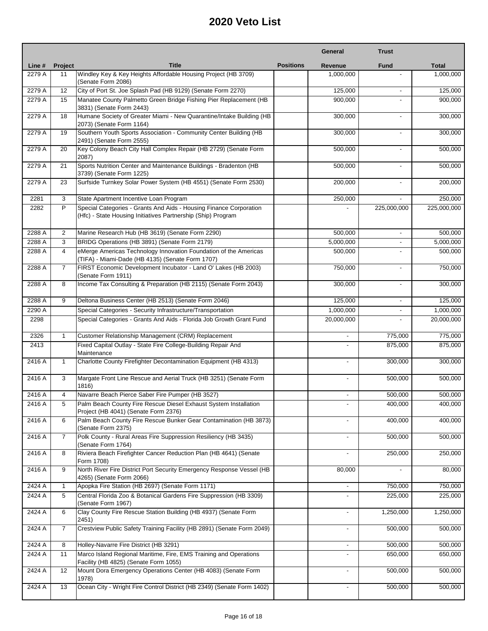|        |                |                                                                                                                                    |                  | General                  | <b>Trust</b>             |              |
|--------|----------------|------------------------------------------------------------------------------------------------------------------------------------|------------------|--------------------------|--------------------------|--------------|
| Line # | Project        | <b>Title</b>                                                                                                                       | <b>Positions</b> | Revenue                  | <b>Fund</b>              | <b>Total</b> |
| 2279 A | 11             | Windley Key & Key Heights Affordable Housing Project (HB 3709)                                                                     |                  | 1,000,000                |                          | 1,000,000    |
| 2279 A | 12             | (Senate Form 2086)<br>City of Port St. Joe Splash Pad (HB 9129) (Senate Form 2270)                                                 |                  | 125,000                  | ٠                        | 125,000      |
| 2279 A | 15             | Manatee County Palmetto Green Bridge Fishing Pier Replacement (HB<br>3831) (Senate Form 2443)                                      |                  | 900,000                  | $\overline{a}$           | 900,000      |
| 2279 A | 18             | Humane Society of Greater Miami - New Quarantine/Intake Building (HB<br>2073) (Senate Form 1164)                                   |                  | 300,000                  |                          | 300,000      |
| 2279 A | 19             | Southern Youth Sports Association - Community Center Building (HB<br>2491) (Senate Form 2555)                                      |                  | 300,000                  | $\overline{a}$           | 300,000      |
| 2279 A | 20             | Key Colony Beach City Hall Complex Repair (HB 2729) (Senate Form<br>2087)                                                          |                  | 500,000                  |                          | 500,000      |
| 2279 A | 21             | Sports Nutrition Center and Maintenance Buildings - Bradenton (HB<br>3739) (Senate Form 1225)                                      |                  | 500,000                  | ٠                        | 500,000      |
| 2279 A | 23             | Surfside Turnkey Solar Power System (HB 4551) (Senate Form 2530)                                                                   |                  | 200,000                  |                          | 200,000      |
| 2281   | 3              | State Apartment Incentive Loan Program                                                                                             |                  | 250,000                  |                          | 250,000      |
| 2282   | P              | Special Categories - Grants And Aids - Housing Finance Corporation<br>(Hfc) - State Housing Initiatives Partnership (Ship) Program |                  |                          | 225,000,000              | 225,000,000  |
| 2288 A | 2              | Marine Research Hub (HB 3619) (Senate Form 2290)                                                                                   |                  | 500,000                  | $\overline{\phantom{a}}$ | 500,000      |
| 2288 A | 3              | BRIDG Operations (HB 3891) (Senate Form 2179)                                                                                      |                  | 5,000,000                | $\overline{\phantom{0}}$ | 5,000,000    |
| 2288 A | $\overline{4}$ | eMerge Americas Technology Innovation Foundation of the Americas<br>(TIFA) - Miami-Dade (HB 4135) (Senate Form 1707)               |                  | 500,000                  | $\overline{a}$           | 500,000      |
| 2288 A | $\overline{7}$ | FIRST Economic Development Incubator - Land O' Lakes (HB 2003)<br>(Senate Form 1911)                                               |                  | 750,000                  |                          | 750,000      |
| 2288 A | 8              | Income Tax Consulting & Preparation (HB 2115) (Senate Form 2043)                                                                   |                  | 300,000                  |                          | 300,000      |
| 2288 A | 9              | Deltona Business Center (HB 2513) (Senate Form 2046)                                                                               |                  | 125,000                  | $\blacksquare$           | 125,000      |
| 2290 A |                | Special Categories - Security Infrastructure/Transportation                                                                        |                  | 1,000,000                | $\blacksquare$           | 1,000,000    |
| 2298   |                | Special Categories - Grants And Aids - Florida Job Growth Grant Fund                                                               |                  | 20,000,000               | $\overline{\phantom{0}}$ | 20,000,000   |
| 2326   | $\mathbf{1}$   | Customer Relationship Management (CRM) Replacement                                                                                 |                  |                          | 775,000                  | 775,000      |
| 2413   |                | Fixed Capital Outlay - State Fire College-Building Repair And<br>Maintenance                                                       |                  |                          | 875,000                  | 875,000      |
| 2416 A | $\mathbf{1}$   | Charlotte County Firefighter Decontamination Equipment (HB 4313)                                                                   |                  |                          | 300,000                  | 300,000      |
| 2416 A | 3              | Margate Front Line Rescue and Aerial Truck (HB 3251) (Senate Form<br>1816)                                                         |                  |                          | 500,000                  | 500,000      |
| 2416 A | 4              | Navarre Beach Pierce Saber Fire Pumper (HB 3527)                                                                                   |                  | $\overline{\phantom{a}}$ | 500,000                  | 500,000      |
| 2416 A | 5              | Palm Beach County Fire Rescue Diesel Exhaust System Installation<br>Project (HB 4041) (Senate Form 2376)                           |                  |                          | 400,000                  | 400,000      |
| 2416 A | 6              | Palm Beach County Fire Rescue Bunker Gear Contamination (HB 3873)<br>(Senate Form 2375)                                            |                  |                          | 400,000                  | 400,000      |
| 2416 A | 7              | Polk County - Rural Areas Fire Suppression Resiliency (HB 3435)<br>(Senate Form 1764)                                              |                  |                          | 500,000                  | 500,000      |
| 2416 A | 8              | Riviera Beach Firefighter Cancer Reduction Plan (HB 4641) (Senate<br>Form 1708)                                                    |                  |                          | 250,000                  | 250,000      |
| 2416 A | 9              | North River Fire District Port Security Emergency Response Vessel (HB<br>4265) (Senate Form 2066)                                  |                  | 80,000                   |                          | 80,000       |
| 2424 A | $\mathbf{1}$   | Apopka Fire Station (HB 2697) (Senate Form 1171)                                                                                   |                  | $\overline{\phantom{a}}$ | 750,000                  | 750,000      |
| 2424 A | 5              | Central Florida Zoo & Botanical Gardens Fire Suppression (HB 3309)<br>(Senate Form 1967)                                           |                  |                          | 225,000                  | 225,000      |
| 2424 A | 6              | Clay County Fire Rescue Station Building (HB 4937) (Senate Form<br>2451)                                                           |                  |                          | 1,250,000                | 1,250,000    |
| 2424 A | $\overline{7}$ | Crestview Public Safety Training Facility (HB 2891) (Senate Form 2049)                                                             |                  |                          | 500,000                  | 500,000      |
| 2424 A | 8              | Holley-Navarre Fire District (HB 3291)                                                                                             |                  |                          | 500,000                  | 500,000      |
| 2424 A | 11             | Marco Island Regional Maritime, Fire, EMS Training and Operations<br>Facility (HB 4825) (Senate Form 1055)                         |                  |                          | 650,000                  | 650,000      |
| 2424 A | 12             | Mount Dora Emergency Operations Center (HB 4083) (Senate Form<br>1978)                                                             |                  |                          | 500,000                  | 500,000      |
| 2424 A | 13             | Ocean City - Wright Fire Control District (HB 2349) (Senate Form 1402)                                                             |                  |                          | 500,000                  | 500,000      |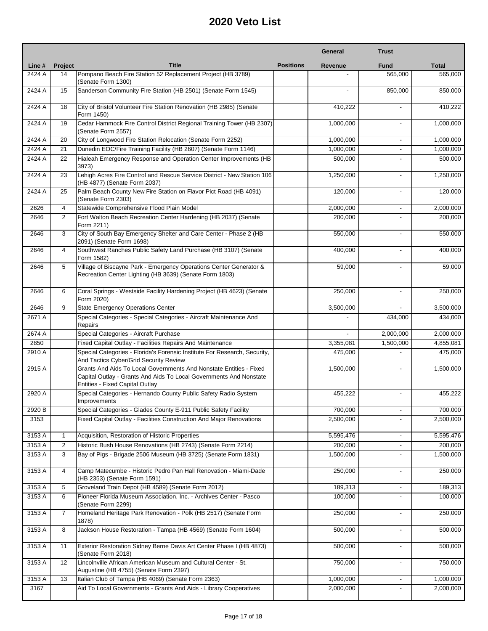|        |                |                                                                                                                                                                                    |                  | General   | <b>Trust</b>             |              |
|--------|----------------|------------------------------------------------------------------------------------------------------------------------------------------------------------------------------------|------------------|-----------|--------------------------|--------------|
| Line # | <b>Project</b> | <b>Title</b>                                                                                                                                                                       | <b>Positions</b> | Revenue   | <b>Fund</b>              | <b>Total</b> |
| 2424 A | 14             | Pompano Beach Fire Station 52 Replacement Project (HB 3789)                                                                                                                        |                  |           | 565,000                  | 565,000      |
| 2424 A | 15             | (Senate Form 1300)<br>Sanderson Community Fire Station (HB 2501) (Senate Form 1545)                                                                                                |                  |           | 850,000                  | 850,000      |
| 2424 A | 18             | City of Bristol Volunteer Fire Station Renovation (HB 2985) (Senate<br>Form 1450)                                                                                                  |                  | 410,222   | $\blacksquare$           | 410,222      |
| 2424 A | 19             | Cedar Hammock Fire Control District Regional Training Tower (HB 2307)<br>(Senate Form 2557)                                                                                        |                  | 1,000,000 | $\overline{a}$           | 1,000,000    |
| 2424 A | 20             | City of Longwood Fire Station Relocation (Senate Form 2252)                                                                                                                        |                  | 1,000,000 |                          | 1,000,000    |
| 2424 A | 21             | Dunedin EOC/Fire Training Facility (HB 2607) (Senate Form 1146)                                                                                                                    |                  | 1,000,000 |                          | 1,000,000    |
| 2424 A | 22             | Hialeah Emergency Response and Operation Center Improvements (HB<br>3973)                                                                                                          |                  | 500,000   |                          | 500,000      |
| 2424 A | 23             | Lehigh Acres Fire Control and Rescue Service District - New Station 106<br>(HB 4877) (Senate Form 2037)                                                                            |                  | 1,250,000 | ٠                        | 1,250,000    |
| 2424 A | 25             | Palm Beach County New Fire Station on Flavor Pict Road (HB 4091)<br>(Senate Form 2303)                                                                                             |                  | 120,000   |                          | 120,000      |
| 2626   | 4              | Statewide Comprehensive Flood Plain Model                                                                                                                                          |                  | 2,000,000 | $\overline{\phantom{a}}$ | 2,000,000    |
| 2646   | $\overline{2}$ | Fort Walton Beach Recreation Center Hardening (HB 2037) (Senate<br>Form 2211)                                                                                                      |                  | 200,000   |                          | 200,000      |
| 2646   | 3              | City of South Bay Emergency Shelter and Care Center - Phase 2 (HB<br>2091) (Senate Form 1698)                                                                                      |                  | 550,000   | $\blacksquare$           | 550,000      |
| 2646   | 4              | Southwest Ranches Public Safety Land Purchase (HB 3107) (Senate<br>Form 1582)                                                                                                      |                  | 400,000   | $\overline{a}$           | 400,000      |
| 2646   | 5              | Village of Biscayne Park - Emergency Operations Center Generator &<br>Recreation Center Lighting (HB 3639) (Senate Form 1803)                                                      |                  | 59,000    |                          | 59,000       |
| 2646   | 6              | Coral Springs - Westside Facility Hardening Project (HB 4623) (Senate<br>Form 2020)                                                                                                |                  | 250,000   | $\overline{a}$           | 250,000      |
| 2646   | 9              | <b>State Emergency Operations Center</b>                                                                                                                                           |                  | 3,500,000 |                          | 3,500,000    |
| 2671 A |                | Special Categories - Special Categories - Aircraft Maintenance And<br>Repairs                                                                                                      |                  |           | 434,000                  | 434,000      |
| 2674 A |                | Special Categories - Aircraft Purchase                                                                                                                                             |                  |           | 2,000,000                | 2,000,000    |
| 2850   |                | Fixed Capital Outlay - Facilities Repairs And Maintenance                                                                                                                          |                  | 3,355,081 | 1,500,000                | 4,855,081    |
| 2910 A |                | Special Categories - Florida's Forensic Institute For Research, Security,<br>And Tactics Cyber/Grid Security Review                                                                |                  | 475,000   |                          | 475,000      |
| 2915 A |                | Grants And Aids To Local Governments And Nonstate Entities - Fixed<br>Capital Outlay - Grants And Aids To Local Governments And Nonstate<br><b>Entities - Fixed Capital Outlay</b> |                  | 1,500,000 |                          | 1,500,000    |
| 2920 A |                | Special Categories - Hernando County Public Safety Radio System<br>Improvements                                                                                                    |                  | 455,222   |                          | 455,222      |
| 2920 B |                | Special Categories - Glades County E-911 Public Safety Facility                                                                                                                    |                  | 700,000   |                          | 700,000      |
| 3153   |                | Fixed Capital Outlay - Facilities Construction And Major Renovations                                                                                                               |                  | 2,500,000 |                          | 2,500,000    |
| 3153 A | $\mathbf{1}$   | Acquisition, Restoration of Historic Properties                                                                                                                                    |                  | 5,595,476 |                          | 5,595,476    |
| 3153 A | $\overline{2}$ | Historic Bush House Renovations (HB 2743) (Senate Form 2214)                                                                                                                       |                  | 200,000   |                          | 200,000      |
| 3153 A | 3              | Bay of Pigs - Brigade 2506 Museum (HB 3725) (Senate Form 1831)                                                                                                                     |                  | 1,500,000 |                          | 1,500,000    |
| 3153 A | 4              | Camp Matecumbe - Historic Pedro Pan Hall Renovation - Miami-Dade<br>(HB 2353) (Senate Form 1591)                                                                                   |                  | 250,000   |                          | 250,000      |
| 3153 A | 5              | Groveland Train Depot (HB 4589) (Senate Form 2012)                                                                                                                                 |                  | 189,313   | L.                       | 189,313      |
| 3153 A | 6              | Pioneer Florida Museum Association, Inc. - Archives Center - Pasco<br>(Senate Form 2299)                                                                                           |                  | 100,000   | $\overline{\phantom{0}}$ | 100,000      |
| 3153 A | $\overline{7}$ | Homeland Heritage Park Renovation - Polk (HB 2517) (Senate Form<br>1878)                                                                                                           |                  | 250,000   | $\overline{\phantom{a}}$ | 250,000      |
| 3153 A | 8              | Jackson House Restoration - Tampa (HB 4569) (Senate Form 1604)                                                                                                                     |                  | 500,000   | ٠                        | 500,000      |
| 3153 A | 11             | Exterior Restoration Sidney Berne Davis Art Center Phase I (HB 4873)<br>(Senate Form 2018)                                                                                         |                  | 500,000   |                          | 500,000      |
| 3153 A | 12             | Lincolnville African American Museum and Cultural Center - St.<br>Augustine (HB 4755) (Senate Form 2397)                                                                           |                  | 750,000   | $\overline{\phantom{0}}$ | 750,000      |
| 3153 A | 13             | Italian Club of Tampa (HB 4069) (Senate Form 2363)                                                                                                                                 |                  | 1,000,000 |                          | 1,000,000    |
| 3167   |                | Aid To Local Governments - Grants And Aids - Library Cooperatives                                                                                                                  |                  | 2,000,000 |                          | 2,000,000    |